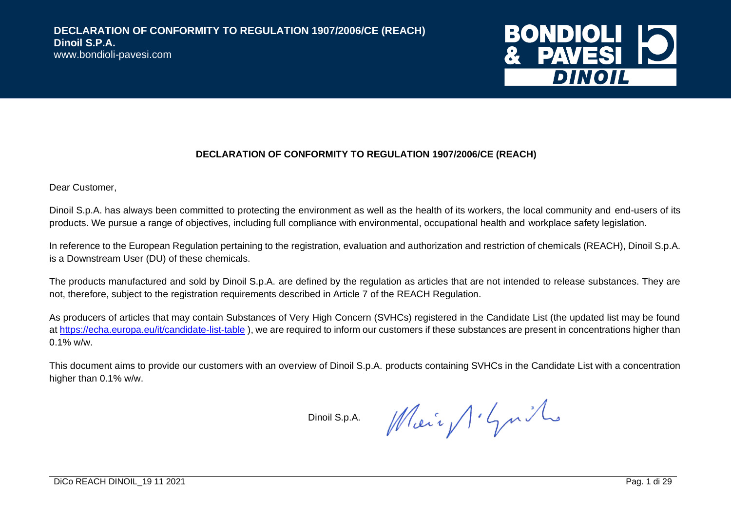

Dear Customer,

Dinoil S.p.A. has always been committed to protecting the environment as well as the health of its workers, the local community and end-users of its products. We pursue a range of objectives, including full compliance with environmental, occupational health and workplace safety legislation.

In reference to the European Regulation pertaining to the registration, evaluation and authorization and restriction of chemicals (REACH), Dinoil S.p.A. is a Downstream User (DU) of these chemicals.

The products manufactured and sold by Dinoil S.p.A. are defined by the regulation as articles that are not intended to release substances. They are not, therefore, subject to the registration requirements described in Article 7 of the REACH Regulation.

As producers of articles that may contain Substances of Very High Concern (SVHCs) registered in the Candidate List (the updated list may be found a[t https://echa.europa.eu/it/candidate-list-table](https://echa.europa.eu/it/candidate-list-table)), we are required to inform our customers if these substances are present in concentrations higher than  $0.1\%$  w/w.

This document aims to provide our customers with an overview of Dinoil S.p.A. products containing SVHCs in the Candidate List with a concentration higher than 0.1% w/w.

Dinoil S.p.A.

Main Schmith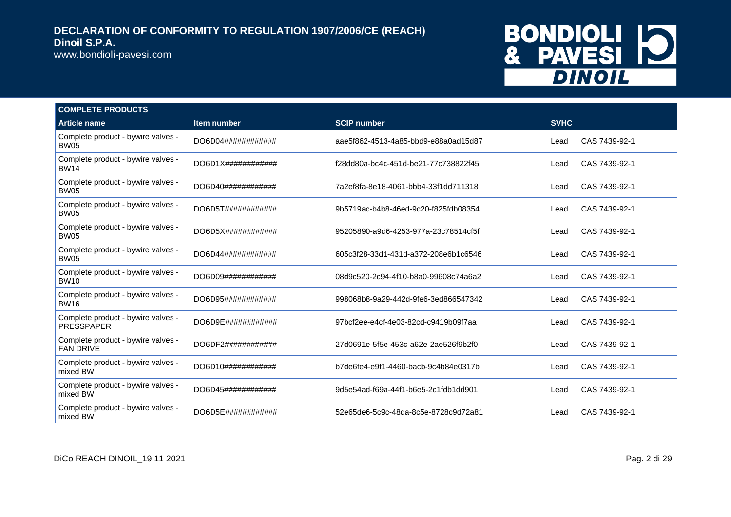www.bondioli-pavesi.com

# BONDIOLI 10<br>& PAVESI 10

| <b>COMPLETE PRODUCTS</b>                                |                               |                                      |             |               |
|---------------------------------------------------------|-------------------------------|--------------------------------------|-------------|---------------|
| <b>Article name</b>                                     | Item number                   | <b>SCIP number</b>                   | <b>SVHC</b> |               |
| Complete product - bywire valves -<br><b>BW05</b>       | DO6D04############            | aae5f862-4513-4a85-bbd9-e88a0ad15d87 | Lead        | CAS 7439-92-1 |
| Complete product - bywire valves -<br><b>BW14</b>       | $DO6D1X\#4\#4\#4\#4\#4\#4\#4$ | f28dd80a-bc4c-451d-be21-77c738822f45 | Lead        | CAS 7439-92-1 |
| Complete product - bywire valves -<br><b>BW05</b>       | DO6D40############            | 7a2ef8fa-8e18-4061-bbb4-33f1dd711318 | Lead        | CAS 7439-92-1 |
| Complete product - bywire valves -<br><b>BW05</b>       | DO6D5T############            | 9b5719ac-b4b8-46ed-9c20-f825fdb08354 | Lead        | CAS 7439-92-1 |
| Complete product - bywire valves -<br>BW05              | DO6D5X############            | 95205890-a9d6-4253-977a-23c78514cf5f | Lead        | CAS 7439-92-1 |
| Complete product - bywire valves -<br><b>BW05</b>       | DO6D44############            | 605c3f28-33d1-431d-a372-208e6b1c6546 | Lead        | CAS 7439-92-1 |
| Complete product - bywire valves -<br><b>BW10</b>       | DO6D09############            | 08d9c520-2c94-4f10-b8a0-99608c74a6a2 | Lead        | CAS 7439-92-1 |
| Complete product - bywire valves -<br><b>BW16</b>       | DO6D95############            | 998068b8-9a29-442d-9fe6-3ed866547342 | Lead        | CAS 7439-92-1 |
| Complete product - bywire valves -<br><b>PRESSPAPER</b> | DO6D9E############            | 97bcf2ee-e4cf-4e03-82cd-c9419b09f7aa | Lead        | CAS 7439-92-1 |
| Complete product - bywire valves -<br><b>FAN DRIVE</b>  | DO6DF2############            | 27d0691e-5f5e-453c-a62e-2ae526f9b2f0 | Lead        | CAS 7439-92-1 |
| Complete product - bywire valves -<br>mixed BW          | DO6D10############            | b7de6fe4-e9f1-4460-bacb-9c4b84e0317b | Lead        | CAS 7439-92-1 |
| Complete product - bywire valves -<br>mixed BW          | DO6D45############            | 9d5e54ad-f69a-44f1-b6e5-2c1fdb1dd901 | Lead        | CAS 7439-92-1 |
| Complete product - bywire valves -<br>mixed BW          | DO6D5E############            | 52e65de6-5c9c-48da-8c5e-8728c9d72a81 | Lead        | CAS 7439-92-1 |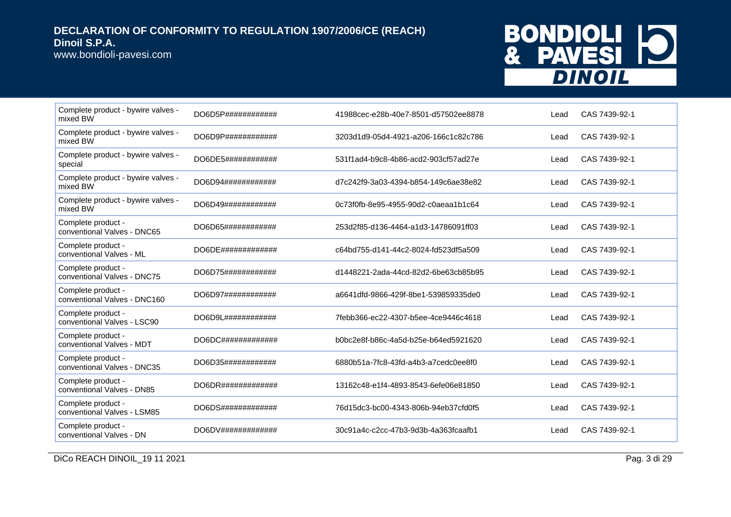www.bondioli-pavesi.com

# BONDIOLI 10<br>& PAVESI 10

| Complete product - bywire valves -<br>mixed BW     | DO6D5P############  | 41988cec-e28b-40e7-8501-d57502ee8878 | Lead | CAS 7439-92-1 |
|----------------------------------------------------|---------------------|--------------------------------------|------|---------------|
| Complete product - bywire valves -<br>mixed BW     | DO6D9P############# | 3203d1d9-05d4-4921-a206-166c1c82c786 | Lead | CAS 7439-92-1 |
| Complete product - bywire valves -<br>special      | DO6DE5############  | 531f1ad4-b9c8-4b86-acd2-903cf57ad27e | Lead | CAS 7439-92-1 |
| Complete product - bywire valves -<br>mixed BW     | DO6D94############  | d7c242f9-3a03-4394-b854-149c6ae38e82 | Lead | CAS 7439-92-1 |
| Complete product - bywire valves -<br>mixed BW     | DO6D49############  | 0c73f0fb-8e95-4955-90d2-c0aeaa1b1c64 | Lead | CAS 7439-92-1 |
| Complete product -<br>conventional Valves - DNC65  | DO6D65############  | 253d2f85-d136-4464-a1d3-14786091ff03 | Lead | CAS 7439-92-1 |
| Complete product -<br>conventional Valves - ML     | DO6DE#############  | c64bd755-d141-44c2-8024-fd523df5a509 | Lead | CAS 7439-92-1 |
| Complete product -<br>conventional Valves - DNC75  | DO6D75############  | d1448221-2ada-44cd-82d2-6be63cb85b95 | Lead | CAS 7439-92-1 |
| Complete product -<br>conventional Valves - DNC160 | DO6D97############  | a6641dfd-9866-429f-8be1-539859335de0 | Lead | CAS 7439-92-1 |
| Complete product -<br>conventional Valves - LSC90  | DO6D9L############# | 7febb366-ec22-4307-b5ee-4ce9446c4618 | Lead | CAS 7439-92-1 |
| Complete product -<br>conventional Valves - MDT    | DO6DC#############  | b0bc2e8f-b86c-4a5d-b25e-b64ed5921620 | Lead | CAS 7439-92-1 |
| Complete product -<br>conventional Valves - DNC35  | DO6D35############  | 6880b51a-7fc8-43fd-a4b3-a7cedc0ee8f0 | Lead | CAS 7439-92-1 |
| Complete product -<br>conventional Valves - DN85   | DO6DR#############  | 13162c48-e1f4-4893-8543-6efe06e81850 | Lead | CAS 7439-92-1 |
| Complete product -<br>conventional Valves - LSM85  | DO6DS#############  | 76d15dc3-bc00-4343-806b-94eb37cfd0f5 | Lead | CAS 7439-92-1 |
| Complete product -<br>conventional Valves - DN     | DO6DV#############  | 30c91a4c-c2cc-47b3-9d3b-4a363fcaafb1 | Lead | CAS 7439-92-1 |

DiCo REACH DINOIL\_19 11 2021 Pag. 3 di 29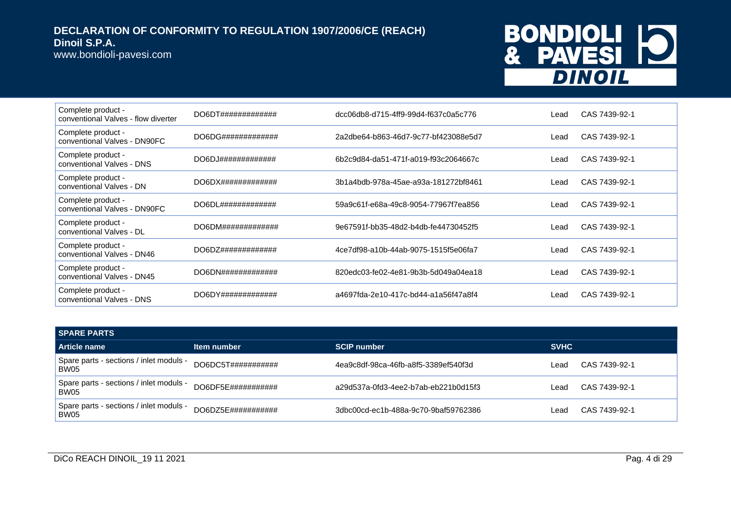www.bondioli-pavesi.com

# BONDIOLI 10<br>& PAVESI 10

| Complete product -<br>conventional Valves - flow diverter |                                   | dcc06db8-d715-4ff9-99d4-f637c0a5c776 | Lead | CAS 7439-92-1 |
|-----------------------------------------------------------|-----------------------------------|--------------------------------------|------|---------------|
| Complete product -<br>conventional Valves - DN90FC        | DO6DG##############               | 2a2dbe64-b863-46d7-9c77-bf423088e5d7 | Lead | CAS 7439-92-1 |
| Complete product -<br>conventional Valves - DNS           | DO6DJ#############                | 6b2c9d84-da51-471f-a019-f93c2064667c | Lead | CAS 7439-92-1 |
| Complete product -<br>conventional Valves - DN            | DO6D X# # # # # # # # # # # # # # | 3b1a4bdb-978a-45ae-a93a-181272bf8461 | Lead | CAS 7439-92-1 |
| Complete product -<br>conventional Valves - DN90FC        | DO6DL#############                | 59a9c61f-e68a-49c8-9054-77967f7ea856 | Lead | CAS 7439-92-1 |
| Complete product -<br>conventional Valves - DL            | DO6DM# # # # # # # # # # # # # #  | 9e67591f-bb35-48d2-b4db-fe44730452f5 | Lead | CAS 7439-92-1 |
| Complete product -<br>conventional Valves - DN46          | DO6DZ## # # # # # # # # # # # #   | 4ce7df98-a10b-44ab-9075-1515f5e06fa7 | Lead | CAS 7439-92-1 |
| Complete product -<br>conventional Valves - DN45          | DO6DN#############                | 820edc03-fe02-4e81-9b3b-5d049a04ea18 | Lead | CAS 7439-92-1 |
| Complete product -<br>conventional Valves - DNS           | DO6DY##############               | a4697fda-2e10-417c-bd44-a1a56f47a8f4 | Lead | CAS 7439-92-1 |

| <b>SPARE PARTS</b>                              |                           |                                      |             |               |
|-------------------------------------------------|---------------------------|--------------------------------------|-------------|---------------|
| Article name                                    | Item number               | <b>SCIP number</b>                   | <b>SVHC</b> |               |
| Spare parts - sections / inlet moduls -<br>BW05 | DO6DC5T###########        | 4ea9c8df-98ca-46fb-a8f5-3389ef540f3d | Lead        | CAS 7439-92-1 |
| Spare parts - sections / inlet moduls -<br>BW05 | DO6DF5E###########        | a29d537a-0fd3-4ee2-b7ab-eb221b0d15f3 | Lead        | CAS 7439-92-1 |
| Spare parts - sections / inlet moduls -<br>BW05 | $DO6DZ5F\#44444444444444$ | 3dbc00cd-ec1b-488a-9c70-9baf59762386 | Lead        | CAS 7439-92-1 |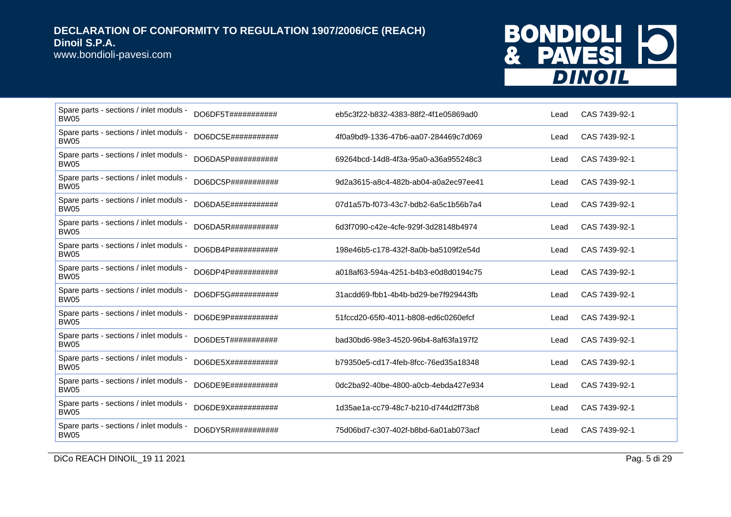www.bondioli-pavesi.com

## BONDIOLI 10 **DINOIL**

| Spare parts - sections / inlet moduls -<br><b>BW05</b> | DO6DF5T###########  | eb5c3f22-b832-4383-88f2-4f1e05869ad0 | Lead | CAS 7439-92-1 |
|--------------------------------------------------------|---------------------|--------------------------------------|------|---------------|
| Spare parts - sections / inlet moduls -<br>BW05        | DO6DC5E###########  | 4f0a9bd9-1336-47b6-aa07-284469c7d069 | Lead | CAS 7439-92-1 |
| Spare parts - sections / inlet moduls -<br><b>BW05</b> | DO6DA5P###########  | 69264bcd-14d8-4f3a-95a0-a36a955248c3 | Lead | CAS 7439-92-1 |
| Spare parts - sections / inlet moduls -<br><b>BW05</b> | DO6DC5P###########  | 9d2a3615-a8c4-482b-ab04-a0a2ec97ee41 | Lead | CAS 7439-92-1 |
| Spare parts - sections / inlet moduls -<br><b>BW05</b> | DO6DA5E###########  | 07d1a57b-f073-43c7-bdb2-6a5c1b56b7a4 | Lead | CAS 7439-92-1 |
| Spare parts - sections / inlet moduls -<br><b>BW05</b> | DO6DA5R###########  | 6d3f7090-c42e-4cfe-929f-3d28148b4974 | Lead | CAS 7439-92-1 |
| Spare parts - sections / inlet moduls -<br><b>BW05</b> | DO6DB4P###########  | 198e46b5-c178-432f-8a0b-ba5109f2e54d | Lead | CAS 7439-92-1 |
| Spare parts - sections / inlet moduls -<br><b>BW05</b> | DO6DP4P###########  | a018af63-594a-4251-b4b3-e0d8d0194c75 | Lead | CAS 7439-92-1 |
| Spare parts - sections / inlet moduls -<br><b>BW05</b> | DO6DF5G###########  | 31acdd69-fbb1-4b4b-bd29-be7f929443fb | Lead | CAS 7439-92-1 |
| Spare parts - sections / inlet moduls -<br>BW05        | DO6DE9P############ | 51fccd20-65f0-4011-b808-ed6c0260efcf | Lead | CAS 7439-92-1 |
| Spare parts - sections / inlet moduls -<br><b>BW05</b> | DO6DE5T###########  | bad30bd6-98e3-4520-96b4-8af63fa197f2 | Lead | CAS 7439-92-1 |
| Spare parts - sections / inlet moduls -<br><b>BW05</b> | DO6DE5X###########  | b79350e5-cd17-4feb-8fcc-76ed35a18348 | Lead | CAS 7439-92-1 |
| Spare parts - sections / inlet moduls -<br><b>BW05</b> | DO6DE9E###########  | 0dc2ba92-40be-4800-a0cb-4ebda427e934 | Lead | CAS 7439-92-1 |
| Spare parts - sections / inlet moduls -<br><b>BW05</b> | DO6DE9X############ | 1d35ae1a-cc79-48c7-b210-d744d2ff73b8 | Lead | CAS 7439-92-1 |
| Spare parts - sections / inlet moduls -<br><b>BW05</b> | DO6DY5R###########  | 75d06bd7-c307-402f-b8bd-6a01ab073acf | Lead | CAS 7439-92-1 |

DICo REACH DINOIL\_19 11 2021 Pag. 5 di 29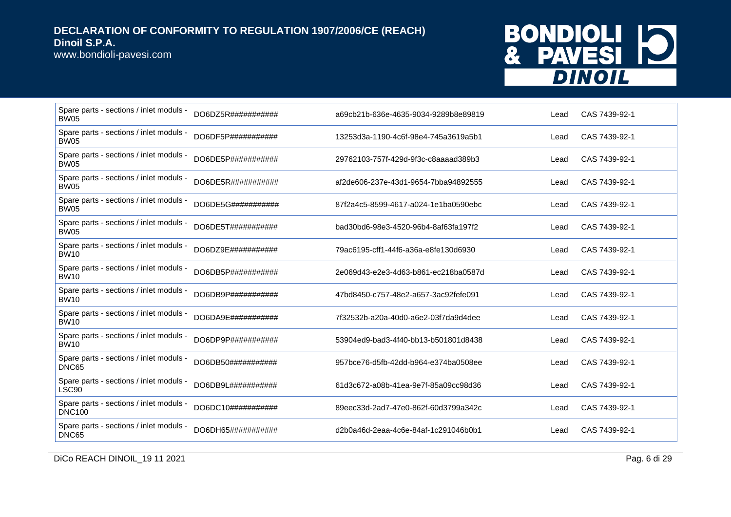www.bondioli-pavesi.com

# BONDIOLI 10<br>& PAVESI 10

| Spare parts - sections / inlet moduls -<br><b>BW05</b>   | DO6DZ5R###########  | a69cb21b-636e-4635-9034-9289b8e89819 | Lead | CAS 7439-92-1 |
|----------------------------------------------------------|---------------------|--------------------------------------|------|---------------|
| Spare parts - sections / inlet moduls -<br><b>BW05</b>   | DO6DF5P###########  | 13253d3a-1190-4c6f-98e4-745a3619a5b1 | Lead | CAS 7439-92-1 |
| Spare parts - sections / inlet moduls -<br><b>BW05</b>   | DO6DE5P###########  | 29762103-757f-429d-9f3c-c8aaaad389b3 | Lead | CAS 7439-92-1 |
| Spare parts - sections / inlet moduls -<br><b>BW05</b>   | DO6DE5R###########  | af2de606-237e-43d1-9654-7bba94892555 | Lead | CAS 7439-92-1 |
| Spare parts - sections / inlet moduls -<br><b>BW05</b>   | DO6DE5G###########  | 87f2a4c5-8599-4617-a024-1e1ba0590ebc | Lead | CAS 7439-92-1 |
| Spare parts - sections / inlet moduls -<br><b>BW05</b>   | DO6DE5T###########  | bad30bd6-98e3-4520-96b4-8af63fa197f2 | Lead | CAS 7439-92-1 |
| Spare parts - sections / inlet moduls -<br><b>BW10</b>   | DO6DZ9E###########  | 79ac6195-cff1-44f6-a36a-e8fe130d6930 | Lead | CAS 7439-92-1 |
| Spare parts - sections / inlet moduls -<br><b>BW10</b>   | DO6DB5P###########  | 2e069d43-e2e3-4d63-b861-ec218ba0587d | Lead | CAS 7439-92-1 |
| Spare parts - sections / inlet moduls -<br><b>BW10</b>   | DO6DB9P############ | 47bd8450-c757-48e2-a657-3ac92fefe091 | Lead | CAS 7439-92-1 |
| Spare parts - sections / inlet moduls -<br><b>BW10</b>   | DO6DA9E###########  | 7f32532b-a20a-40d0-a6e2-03f7da9d4dee | Lead | CAS 7439-92-1 |
| Spare parts - sections / inlet moduls -<br><b>BW10</b>   | DO6DP9P###########  | 53904ed9-bad3-4f40-bb13-b501801d8438 | Lead | CAS 7439-92-1 |
| Spare parts - sections / inlet moduls -<br>DNC65         | DO6DB50###########  | 957bce76-d5fb-42dd-b964-e374ba0508ee | Lead | CAS 7439-92-1 |
| Spare parts - sections / inlet moduls -<br>LSC90         | DO6DB9L############ | 61d3c672-a08b-41ea-9e7f-85a09cc98d36 | Lead | CAS 7439-92-1 |
| Spare parts - sections / inlet moduls -<br><b>DNC100</b> | DO6DC10############ | 89eec33d-2ad7-47e0-862f-60d3799a342c | Lead | CAS 7439-92-1 |
| Spare parts - sections / inlet moduls -<br>DNC65         | DO6DH65###########  | d2b0a46d-2eaa-4c6e-84af-1c291046b0b1 | Lead | CAS 7439-92-1 |

DICo REACH DINOIL\_19 11 2021 Pag. 6 di 29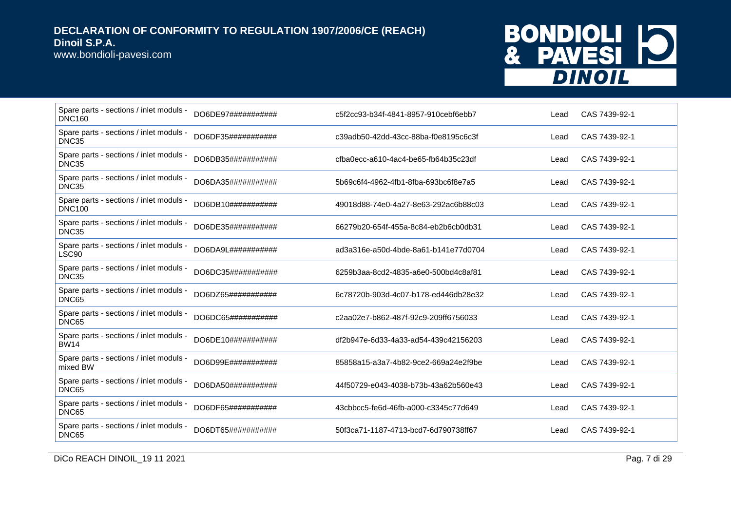www.bondioli-pavesi.com

# BONDIOLI 10<br>& PAVESI 10

| Spare parts - sections / inlet moduls -<br><b>DNC160</b>     | DO6DE97########### | c5f2cc93-b34f-4841-8957-910cebf6ebb7 | Lead | CAS 7439-92-1 |
|--------------------------------------------------------------|--------------------|--------------------------------------|------|---------------|
| Spare parts - sections / inlet moduls -<br>DNC35             | DO6DF35########### | c39adb50-42dd-43cc-88ba-f0e8195c6c3f | Lead | CAS 7439-92-1 |
| Spare parts - sections / inlet moduls -<br>DNC35             | DO6DB35########### | cfba0ecc-a610-4ac4-be65-fb64b35c23df | Lead | CAS 7439-92-1 |
| Spare parts - sections / inlet moduls -<br>DNC35             | DO6DA35########### | 5b69c6f4-4962-4fb1-8fba-693bc6f8e7a5 | Lead | CAS 7439-92-1 |
| Spare parts - sections / inlet moduls -<br><b>DNC100</b>     | DO6DB10########### | 49018d88-74e0-4a27-8e63-292ac6b88c03 | Lead | CAS 7439-92-1 |
| Spare parts - sections / inlet moduls -<br>DNC35             | DO6DE35########### | 66279b20-654f-455a-8c84-eb2b6cb0db31 | Lead | CAS 7439-92-1 |
| Spare parts - sections / inlet moduls -<br>LSC <sub>90</sub> | DO6DA9L########### | ad3a316e-a50d-4bde-8a61-b141e77d0704 | Lead | CAS 7439-92-1 |
| Spare parts - sections / inlet moduls -<br>DNC35             | DO6DC35########### | 6259b3aa-8cd2-4835-a6e0-500bd4c8af81 | Lead | CAS 7439-92-1 |
| Spare parts - sections / inlet moduls -<br>DNC65             | DO6DZ65########### | 6c78720b-903d-4c07-b178-ed446db28e32 | Lead | CAS 7439-92-1 |
| Spare parts - sections / inlet moduls -<br>DNC65             | DO6DC65########### | c2aa02e7-b862-487f-92c9-209ff6756033 | Lead | CAS 7439-92-1 |
| Spare parts - sections / inlet moduls -<br><b>BW14</b>       | DO6DE10########### | df2b947e-6d33-4a33-ad54-439c42156203 | Lead | CAS 7439-92-1 |
| Spare parts - sections / inlet moduls -<br>mixed BW          | DO6D99E########### | 85858a15-a3a7-4b82-9ce2-669a24e2f9be | Lead | CAS 7439-92-1 |
| Spare parts - sections / inlet moduls -<br>DNC65             | DO6DA50########### | 44f50729-e043-4038-b73b-43a62b560e43 | Lead | CAS 7439-92-1 |
| Spare parts - sections / inlet moduls -<br>DNC65             | DO6DF65########### | 43cbbcc5-fe6d-46fb-a000-c3345c77d649 | Lead | CAS 7439-92-1 |
| Spare parts - sections / inlet moduls -<br>DNC65             | DO6DT65########### | 50f3ca71-1187-4713-bcd7-6d790738ff67 | Lead | CAS 7439-92-1 |

DICo REACH DINOIL\_19 11 2021 Pag. 7 di 29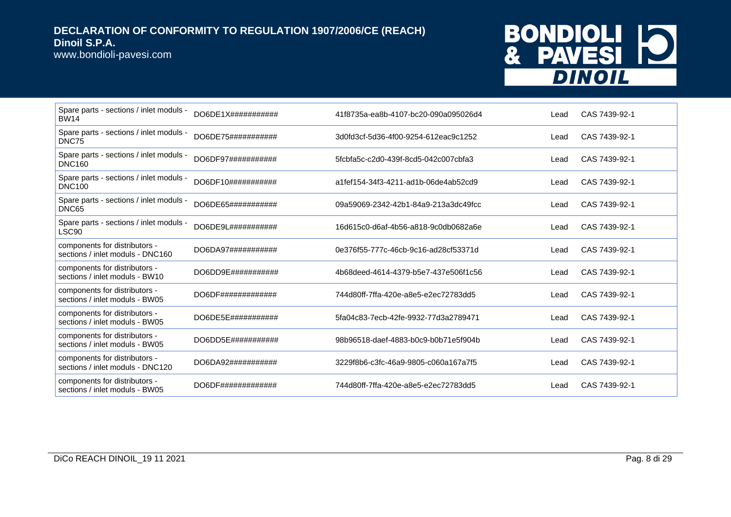www.bondioli-pavesi.com

# BONDIOLI 10<br>& PAVESI 10

| Spare parts - sections / inlet moduls -<br><b>BW14</b>            | $DO6DE1X\#4\#4\#4\#4\#4\#4$ | 41f8735a-ea8b-4107-bc20-090a095026d4 | Lead | CAS 7439-92-1 |
|-------------------------------------------------------------------|-----------------------------|--------------------------------------|------|---------------|
| Spare parts - sections / inlet moduls -<br>DNC75                  | DO6DE75###########          | 3d0fd3cf-5d36-4f00-9254-612eac9c1252 | Lead | CAS 7439-92-1 |
| Spare parts - sections / inlet moduls -<br><b>DNC160</b>          | DO6DF97###########          | 5fcbfa5c-c2d0-439f-8cd5-042c007cbfa3 | Lead | CAS 7439-92-1 |
| Spare parts - sections / inlet moduls -<br><b>DNC100</b>          | DO6DF10###########          | a1fef154-34f3-4211-ad1b-06de4ab52cd9 | Lead | CAS 7439-92-1 |
| Spare parts - sections / inlet moduls -<br>DNC65                  | DO6DE65###########          | 09a59069-2342-42b1-84a9-213a3dc49fcc | Lead | CAS 7439-92-1 |
| Spare parts - sections / inlet moduls -<br>LSC90                  | DO6DE9L###########          | 16d615c0-d6af-4b56-a818-9c0db0682a6e | Lead | CAS 7439-92-1 |
| components for distributors -<br>sections / inlet moduls - DNC160 | DO6DA97###########          | 0e376f55-777c-46cb-9c16-ad28cf53371d | Lead | CAS 7439-92-1 |
| components for distributors -<br>sections / inlet moduls - BW10   | DO6DD9E###########          | 4b68deed-4614-4379-b5e7-437e506f1c56 | Lead | CAS 7439-92-1 |
| components for distributors -<br>sections / inlet moduls - BW05   | DO6DF#############          | 744d80ff-7ffa-420e-a8e5-e2ec72783dd5 | Lead | CAS 7439-92-1 |
| components for distributors -<br>sections / inlet moduls - BW05   | DO6DE5E###########          | 5fa04c83-7ecb-42fe-9932-77d3a2789471 | Lead | CAS 7439-92-1 |
| components for distributors -<br>sections / inlet moduls - BW05   | DO6DD5E###########          | 98b96518-daef-4883-b0c9-b0b71e5f904b | Lead | CAS 7439-92-1 |
| components for distributors -<br>sections / inlet moduls - DNC120 | DO6DA92############         | 3229f8b6-c3fc-46a9-9805-c060a167a7f5 | Lead | CAS 7439-92-1 |
| components for distributors -<br>sections / inlet moduls - BW05   | DO6DF#############          | 744d80ff-7ffa-420e-a8e5-e2ec72783dd5 | Lead | CAS 7439-92-1 |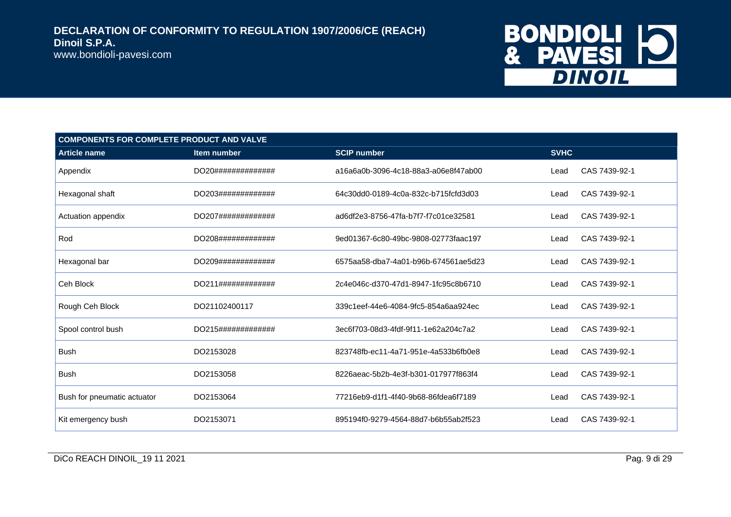

| <b>COMPONENTS FOR COMPLETE PRODUCT AND VALVE</b> |                    |                                      |             |               |  |
|--------------------------------------------------|--------------------|--------------------------------------|-------------|---------------|--|
| <b>Article name</b>                              | Item number        | <b>SCIP number</b>                   | <b>SVHC</b> |               |  |
| Appendix                                         | DO20############## | a16a6a0b-3096-4c18-88a3-a06e8f47ab00 | Lead        | CAS 7439-92-1 |  |
| Hexagonal shaft                                  | DO203############# | 64c30dd0-0189-4c0a-832c-b715fcfd3d03 | Lead        | CAS 7439-92-1 |  |
| Actuation appendix                               | DO207############# | ad6df2e3-8756-47fa-b7f7-f7c01ce32581 | Lead        | CAS 7439-92-1 |  |
| Rod                                              | DO208############# | 9ed01367-6c80-49bc-9808-02773faac197 | Lead        | CAS 7439-92-1 |  |
| Hexagonal bar                                    | DO209############# | 6575aa58-dba7-4a01-b96b-674561ae5d23 | Lead        | CAS 7439-92-1 |  |
| Ceh Block                                        | DO211############# | 2c4e046c-d370-47d1-8947-1fc95c8b6710 | Lead        | CAS 7439-92-1 |  |
| Rough Ceh Block                                  | DO21102400117      | 339c1eef-44e6-4084-9fc5-854a6aa924ec | Lead        | CAS 7439-92-1 |  |
| Spool control bush                               | DO215############# | 3ec6f703-08d3-4fdf-9f11-1e62a204c7a2 | Lead        | CAS 7439-92-1 |  |
| <b>Bush</b>                                      | DO2153028          | 823748fb-ec11-4a71-951e-4a533b6fb0e8 | Lead        | CAS 7439-92-1 |  |
| <b>Bush</b>                                      | DO2153058          | 8226aeac-5b2b-4e3f-b301-017977f863f4 | Lead        | CAS 7439-92-1 |  |
| Bush for pneumatic actuator                      | DO2153064          | 77216eb9-d1f1-4f40-9b68-86fdea6f7189 | Lead        | CAS 7439-92-1 |  |
| Kit emergency bush                               | DO2153071          | 895194f0-9279-4564-88d7-b6b55ab2f523 | Lead        | CAS 7439-92-1 |  |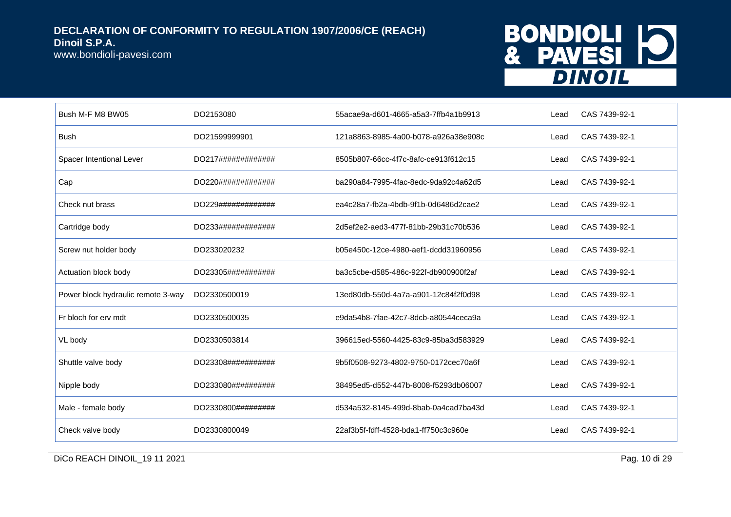www.bondioli-pavesi.com

## BONDIOLI 10 **DINOIL**

| Bush M-F M8 BW05                   | DO2153080           | 55acae9a-d601-4665-a5a3-7ffb4a1b9913 | Lead | CAS 7439-92-1 |
|------------------------------------|---------------------|--------------------------------------|------|---------------|
| <b>Bush</b>                        | DO21599999901       | 121a8863-8985-4a00-b078-a926a38e908c | Lead | CAS 7439-92-1 |
| Spacer Intentional Lever           | DO217#############  | 8505b807-66cc-4f7c-8afc-ce913f612c15 | Lead | CAS 7439-92-1 |
| Cap                                | DO220#############  | ba290a84-7995-4fac-8edc-9da92c4a62d5 | Lead | CAS 7439-92-1 |
| Check nut brass                    | DO229#############  | ea4c28a7-fb2a-4bdb-9f1b-0d6486d2cae2 | Lead | CAS 7439-92-1 |
| Cartridge body                     | DO233#############  | 2d5ef2e2-aed3-477f-81bb-29b31c70b536 | Lead | CAS 7439-92-1 |
| Screw nut holder body              | DO233020232         | b05e450c-12ce-4980-aef1-dcdd31960956 | Lead | CAS 7439-92-1 |
| Actuation block body               | DO23305###########  | ba3c5cbe-d585-486c-922f-db900900f2af | Lead | CAS 7439-92-1 |
| Power block hydraulic remote 3-way | DO2330500019        | 13ed80db-550d-4a7a-a901-12c84f2f0d98 | Lead | CAS 7439-92-1 |
| Fr bloch for erv mdt               | DO2330500035        | e9da54b8-7fae-42c7-8dcb-a80544ceca9a | Lead | CAS 7439-92-1 |
| VL body                            | DO2330503814        | 396615ed-5560-4425-83c9-85ba3d583929 | Lead | CAS 7439-92-1 |
| Shuttle valve body                 | DO23308############ | 9b5f0508-9273-4802-9750-0172cec70a6f | Lead | CAS 7439-92-1 |
| Nipple body                        | DO233080##########  | 38495ed5-d552-447b-8008-f5293db06007 | Lead | CAS 7439-92-1 |
| Male - female body                 | DO2330800#########  | d534a532-8145-499d-8bab-0a4cad7ba43d | Lead | CAS 7439-92-1 |
| Check valve body                   | DO2330800049        | 22af3b5f-fdff-4528-bda1-ff750c3c960e | Lead | CAS 7439-92-1 |

DICo REACH DINOIL\_19 11 2021 Pag. 10 di 29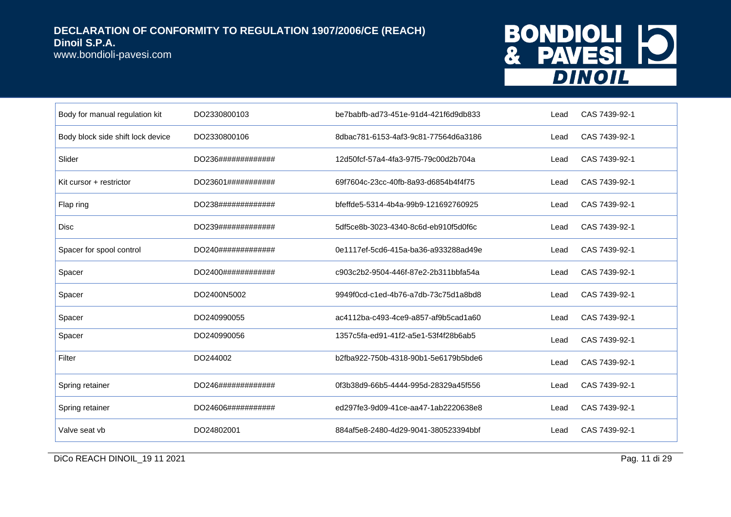www.bondioli-pavesi.com

## BONDIOLI 10 **DINOIL**

| Body for manual regulation kit    | DO2330800103       | be7babfb-ad73-451e-91d4-421f6d9db833 | Lead | CAS 7439-92-1 |
|-----------------------------------|--------------------|--------------------------------------|------|---------------|
| Body block side shift lock device | DO2330800106       | 8dbac781-6153-4af3-9c81-77564d6a3186 | Lead | CAS 7439-92-1 |
| Slider                            | DO236############# | 12d50fcf-57a4-4fa3-97f5-79c00d2b704a | Lead | CAS 7439-92-1 |
| Kit cursor + restrictor           | DO23601########### | 69f7604c-23cc-40fb-8a93-d6854b4f4f75 | Lead | CAS 7439-92-1 |
| Flap ring                         | DO238############# | bfeffde5-5314-4b4a-99b9-121692760925 | Lead | CAS 7439-92-1 |
| Disc                              | DO239############# | 5df5ce8b-3023-4340-8c6d-eb910f5d0f6c | Lead | CAS 7439-92-1 |
| Spacer for spool control          | DO240############# | 0e1117ef-5cd6-415a-ba36-a933288ad49e | Lead | CAS 7439-92-1 |
| Spacer                            | DO2400############ | c903c2b2-9504-446f-87e2-2b311bbfa54a | Lead | CAS 7439-92-1 |
| Spacer                            | DO2400N5002        | 9949f0cd-c1ed-4b76-a7db-73c75d1a8bd8 | Lead | CAS 7439-92-1 |
| Spacer                            | DO240990055        | ac4112ba-c493-4ce9-a857-af9b5cad1a60 | Lead | CAS 7439-92-1 |
| Spacer                            | DO240990056        | 1357c5fa-ed91-41f2-a5e1-53f4f28b6ab5 | Lead | CAS 7439-92-1 |
| Filter                            | DO244002           | b2fba922-750b-4318-90b1-5e6179b5bde6 | Lead | CAS 7439-92-1 |
| Spring retainer                   | DO246############# | 0f3b38d9-66b5-4444-995d-28329a45f556 | Lead | CAS 7439-92-1 |
| Spring retainer                   | DO24606########### | ed297fe3-9d09-41ce-aa47-1ab2220638e8 | Lead | CAS 7439-92-1 |
| Valve seat vb                     | DO24802001         | 884af5e8-2480-4d29-9041-380523394bbf | Lead | CAS 7439-92-1 |

DICo REACH DINOIL\_19 11 2021 Pag. 11 di 29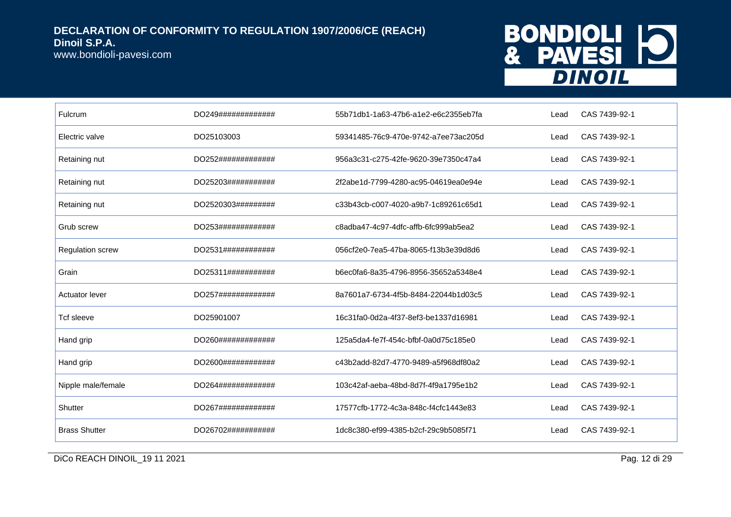www.bondioli-pavesi.com

## BONDIOLI 10 **DINOIL**

| Fulcrum                 | DO249############# | 55b71db1-1a63-47b6-a1e2-e6c2355eb7fa | Lead | CAS 7439-92-1 |
|-------------------------|--------------------|--------------------------------------|------|---------------|
| Electric valve          | DO25103003         | 59341485-76c9-470e-9742-a7ee73ac205d | Lead | CAS 7439-92-1 |
| Retaining nut           | DO252############# | 956a3c31-c275-42fe-9620-39e7350c47a4 | Lead | CAS 7439-92-1 |
| Retaining nut           | DO25203########### | 2f2abe1d-7799-4280-ac95-04619ea0e94e | Lead | CAS 7439-92-1 |
| Retaining nut           | DO2520303######### | c33b43cb-c007-4020-a9b7-1c89261c65d1 | Lead | CAS 7439-92-1 |
| Grub screw              | DO253############# | c8adba47-4c97-4dfc-affb-6fc999ab5ea2 | Lead | CAS 7439-92-1 |
| <b>Regulation screw</b> | DO2531############ | 056cf2e0-7ea5-47ba-8065-f13b3e39d8d6 | Lead | CAS 7439-92-1 |
| Grain                   | DO25311########### | b6ec0fa6-8a35-4796-8956-35652a5348e4 | Lead | CAS 7439-92-1 |
| <b>Actuator lever</b>   | DO257############# | 8a7601a7-6734-4f5b-8484-22044b1d03c5 | Lead | CAS 7439-92-1 |
| Tcf sleeve              | DO25901007         | 16c31fa0-0d2a-4f37-8ef3-be1337d16981 | Lead | CAS 7439-92-1 |
| Hand grip               | DO260############# | 125a5da4-fe7f-454c-bfbf-0a0d75c185e0 | Lead | CAS 7439-92-1 |
| Hand grip               | DO2600############ | c43b2add-82d7-4770-9489-a5f968df80a2 | Lead | CAS 7439-92-1 |
| Nipple male/female      | DO264############# | 103c42af-aeba-48bd-8d7f-4f9a1795e1b2 | Lead | CAS 7439-92-1 |
| Shutter                 | DO267############# | 17577cfb-1772-4c3a-848c-f4cfc1443e83 | Lead | CAS 7439-92-1 |
| <b>Brass Shutter</b>    | DO26702########### | 1dc8c380-ef99-4385-b2cf-29c9b5085f71 | Lead | CAS 7439-92-1 |

DICo REACH DINOIL\_19 11 2021 Pag. 12 di 29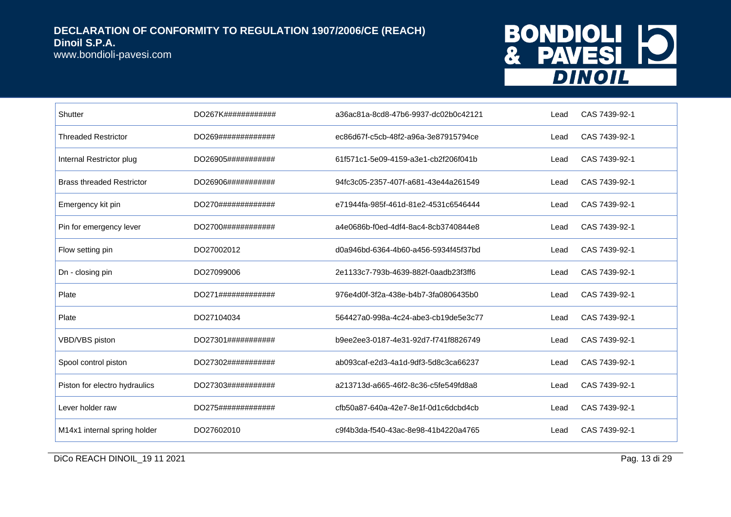www.bondioli-pavesi.com

# BONDIOLI 10<br>& PAVESI 10

| Shutter                          | DO267K############  | a36ac81a-8cd8-47b6-9937-dc02b0c42121 | Lead | CAS 7439-92-1 |
|----------------------------------|---------------------|--------------------------------------|------|---------------|
| <b>Threaded Restrictor</b>       | DO269#############  | ec86d67f-c5cb-48f2-a96a-3e87915794ce | Lead | CAS 7439-92-1 |
| Internal Restrictor plug         | DO26905###########  | 61f571c1-5e09-4159-a3e1-cb2f206f041b | Lead | CAS 7439-92-1 |
| <b>Brass threaded Restrictor</b> | DO26906############ | 94fc3c05-2357-407f-a681-43e44a261549 | Lead | CAS 7439-92-1 |
| Emergency kit pin                | DO270#############  | e71944fa-985f-461d-81e2-4531c6546444 | Lead | CAS 7439-92-1 |
| Pin for emergency lever          | DO2700############  | a4e0686b-f0ed-4df4-8ac4-8cb3740844e8 | Lead | CAS 7439-92-1 |
| Flow setting pin                 | DO27002012          | d0a946bd-6364-4b60-a456-5934f45f37bd | Lead | CAS 7439-92-1 |
| Dn - closing pin                 | DO27099006          | 2e1133c7-793b-4639-882f-0aadb23f3ff6 | Lead | CAS 7439-92-1 |
| Plate                            | DO271#############  | 976e4d0f-3f2a-438e-b4b7-3fa0806435b0 | Lead | CAS 7439-92-1 |
| Plate                            | DO27104034          | 564427a0-998a-4c24-abe3-cb19de5e3c77 | Lead | CAS 7439-92-1 |
| VBD/VBS piston                   | DO27301###########  | b9ee2ee3-0187-4e31-92d7-f741f8826749 | Lead | CAS 7439-92-1 |
| Spool control piston             | DO27302###########  | ab093caf-e2d3-4a1d-9df3-5d8c3ca66237 | Lead | CAS 7439-92-1 |
| Piston for electro hydraulics    | DO27303###########  | a213713d-a665-46f2-8c36-c5fe549fd8a8 | Lead | CAS 7439-92-1 |
| Lever holder raw                 | DO275#############  | cfb50a87-640a-42e7-8e1f-0d1c6dcbd4cb | Lead | CAS 7439-92-1 |
| M14x1 internal spring holder     | DO27602010          | c9f4b3da-f540-43ac-8e98-41b4220a4765 | Lead | CAS 7439-92-1 |

DICo REACH DINOIL\_19 11 2021 2012 10 2021 20 21 21 22 21 22 21 22 21 22 21 23 23 24 25 26 27 27 28 29 29 20 21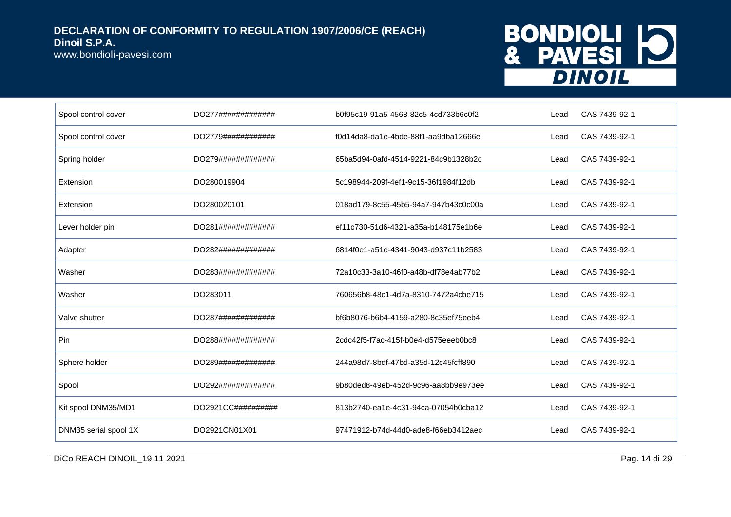www.bondioli-pavesi.com

## BONDIOLI 10 **DINOIL**

| Spool control cover   | DO277############# | b0f95c19-91a5-4568-82c5-4cd733b6c0f2 | Lead | CAS 7439-92-1 |
|-----------------------|--------------------|--------------------------------------|------|---------------|
| Spool control cover   | DO2779############ | f0d14da8-da1e-4bde-88f1-aa9dba12666e | Lead | CAS 7439-92-1 |
| Spring holder         | DO279############# | 65ba5d94-0afd-4514-9221-84c9b1328b2c | Lead | CAS 7439-92-1 |
| Extension             | DO280019904        | 5c198944-209f-4ef1-9c15-36f1984f12db | Lead | CAS 7439-92-1 |
| Extension             | DO280020101        | 018ad179-8c55-45b5-94a7-947b43c0c00a | Lead | CAS 7439-92-1 |
| Lever holder pin      | DO281############# | ef11c730-51d6-4321-a35a-b148175e1b6e | Lead | CAS 7439-92-1 |
| Adapter               | DO282############# | 6814f0e1-a51e-4341-9043-d937c11b2583 | Lead | CAS 7439-92-1 |
| Washer                | DO283############# | 72a10c33-3a10-46f0-a48b-df78e4ab77b2 | Lead | CAS 7439-92-1 |
| Washer                | DO283011           | 760656b8-48c1-4d7a-8310-7472a4cbe715 | Lead | CAS 7439-92-1 |
| Valve shutter         | DO287############# | bf6b8076-b6b4-4159-a280-8c35ef75eeb4 | Lead | CAS 7439-92-1 |
| Pin                   | DO288############# | 2cdc42f5-f7ac-415f-b0e4-d575eeeb0bc8 | Lead | CAS 7439-92-1 |
| Sphere holder         | DO289############# | 244a98d7-8bdf-47bd-a35d-12c45fcff890 | Lead | CAS 7439-92-1 |
| Spool                 | DO292############# | 9b80ded8-49eb-452d-9c96-aa8bb9e973ee | Lead | CAS 7439-92-1 |
| Kit spool DNM35/MD1   | DO2921CC########## | 813b2740-ea1e-4c31-94ca-07054b0cba12 | Lead | CAS 7439-92-1 |
| DNM35 serial spool 1X | DO2921CN01X01      | 97471912-b74d-44d0-ade8-f66eb3412aec | Lead | CAS 7439-92-1 |

DICo REACH DINOIL\_19 11 2021 Pag. 14 di 29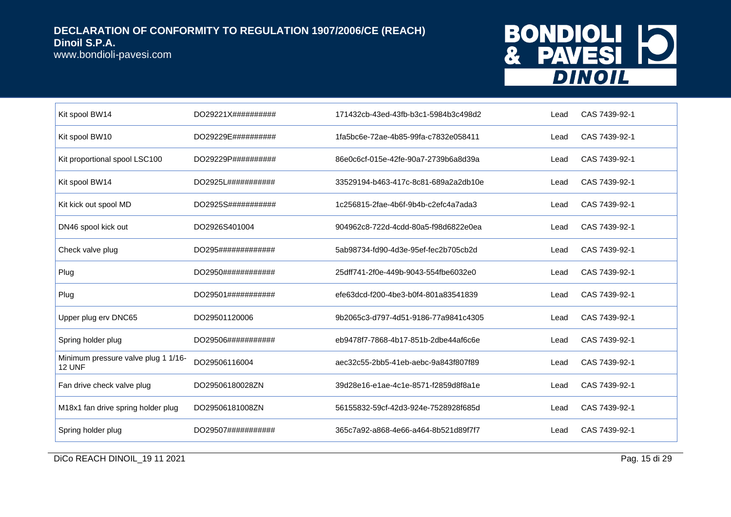www.bondioli-pavesi.com

## BONDIOLI 10 **DINOIL**

| Kit spool BW14                                       | DO29221X########## | 171432cb-43ed-43fb-b3c1-5984b3c498d2 | Lead | CAS 7439-92-1 |
|------------------------------------------------------|--------------------|--------------------------------------|------|---------------|
| Kit spool BW10                                       | DO29229E########## | 1fa5bc6e-72ae-4b85-99fa-c7832e058411 | Lead | CAS 7439-92-1 |
| Kit proportional spool LSC100                        | DO29229P########## | 86e0c6cf-015e-42fe-90a7-2739b6a8d39a | Lead | CAS 7439-92-1 |
| Kit spool BW14                                       | DO2925L########### | 33529194-b463-417c-8c81-689a2a2db10e | Lead | CAS 7439-92-1 |
| Kit kick out spool MD                                | DO2925S########### | 1c256815-2fae-4b6f-9b4b-c2efc4a7ada3 | Lead | CAS 7439-92-1 |
| DN46 spool kick out                                  | DO2926S401004      | 904962c8-722d-4cdd-80a5-f98d6822e0ea | Lead | CAS 7439-92-1 |
| Check valve plug                                     | DO295############# | 5ab98734-fd90-4d3e-95ef-fec2b705cb2d | Lead | CAS 7439-92-1 |
| Plug                                                 | DO2950############ | 25dff741-2f0e-449b-9043-554fbe6032e0 | Lead | CAS 7439-92-1 |
| Plug                                                 | DO29501########### | efe63dcd-f200-4be3-b0f4-801a83541839 | Lead | CAS 7439-92-1 |
| Upper plug erv DNC65                                 | DO29501120006      | 9b2065c3-d797-4d51-9186-77a9841c4305 | Lead | CAS 7439-92-1 |
| Spring holder plug                                   | DO29506########### | eb9478f7-7868-4b17-851b-2dbe44af6c6e | Lead | CAS 7439-92-1 |
| Minimum pressure valve plug 1 1/16-<br><b>12 UNF</b> | DO29506116004      | aec32c55-2bb5-41eb-aebc-9a843f807f89 | Lead | CAS 7439-92-1 |
| Fan drive check valve plug                           | DO29506180028ZN    | 39d28e16-e1ae-4c1e-8571-f2859d8f8a1e | Lead | CAS 7439-92-1 |
| M18x1 fan drive spring holder plug                   | DO29506181008ZN    | 56155832-59cf-42d3-924e-7528928f685d | Lead | CAS 7439-92-1 |
| Spring holder plug                                   | DO29507########### | 365c7a92-a868-4e66-a464-8b521d89f7f7 | Lead | CAS 7439-92-1 |

DICo REACH DINOIL\_19 11 2021 Pag. 15 di 29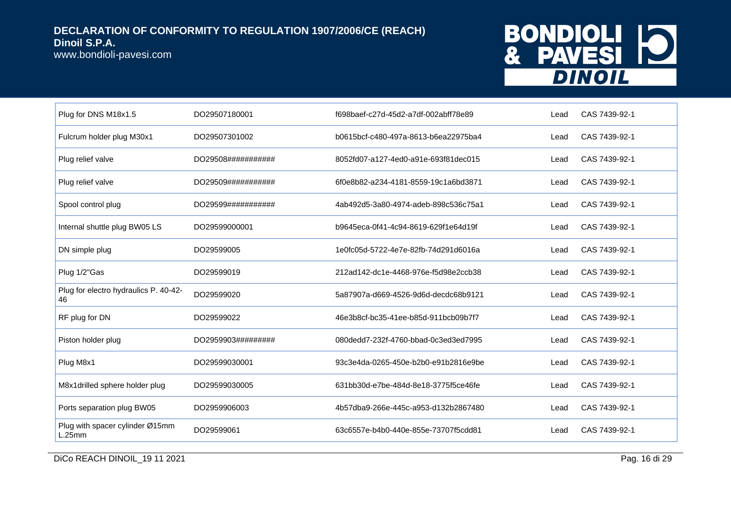www.bondioli-pavesi.com

## BONDIOLI 10 **DINOIL**

| Plug for DNS M18x1.5                        | DO29507180001       | f698baef-c27d-45d2-a7df-002abff78e89 | Lead | CAS 7439-92-1 |
|---------------------------------------------|---------------------|--------------------------------------|------|---------------|
| Fulcrum holder plug M30x1                   | DO29507301002       | b0615bcf-c480-497a-8613-b6ea22975ba4 | Lead | CAS 7439-92-1 |
| Plug relief valve                           | DO29508############ | 8052fd07-a127-4ed0-a91e-693f81dec015 | Lead | CAS 7439-92-1 |
| Plug relief valve                           | DO29509###########  | 6f0e8b82-a234-4181-8559-19c1a6bd3871 | Lead | CAS 7439-92-1 |
| Spool control plug                          | DO29599###########  | 4ab492d5-3a80-4974-adeb-898c536c75a1 | Lead | CAS 7439-92-1 |
| Internal shuttle plug BW05 LS               | DO29599000001       | b9645eca-0f41-4c94-8619-629f1e64d19f | Lead | CAS 7439-92-1 |
| DN simple plug                              | DO29599005          | 1e0fc05d-5722-4e7e-82fb-74d291d6016a | Lead | CAS 7439-92-1 |
| Plug 1/2"Gas                                | DO29599019          | 212ad142-dc1e-4468-976e-f5d98e2ccb38 | Lead | CAS 7439-92-1 |
| Plug for electro hydraulics P. 40-42-<br>46 | DO29599020          | 5a87907a-d669-4526-9d6d-decdc68b9121 | Lead | CAS 7439-92-1 |
| RF plug for DN                              | DO29599022          | 46e3b8cf-bc35-41ee-b85d-911bcb09b7f7 | Lead | CAS 7439-92-1 |
| Piston holder plug                          | DO2959903#########  | 080dedd7-232f-4760-bbad-0c3ed3ed7995 | Lead | CAS 7439-92-1 |
| Plug M8x1                                   | DO29599030001       | 93c3e4da-0265-450e-b2b0-e91b2816e9be | Lead | CAS 7439-92-1 |
| M8x1drilled sphere holder plug              | DO29599030005       | 631bb30d-e7be-484d-8e18-3775f5ce46fe | Lead | CAS 7439-92-1 |
| Ports separation plug BW05                  | DO2959906003        | 4b57dba9-266e-445c-a953-d132b2867480 | Lead | CAS 7439-92-1 |
| Plug with spacer cylinder Ø15mm<br>L.25mm   | DO29599061          | 63c6557e-b4b0-440e-855e-73707f5cdd81 | Lead | CAS 7439-92-1 |

DICo REACH DINOIL\_19 11 2021 Pag. 16 di 29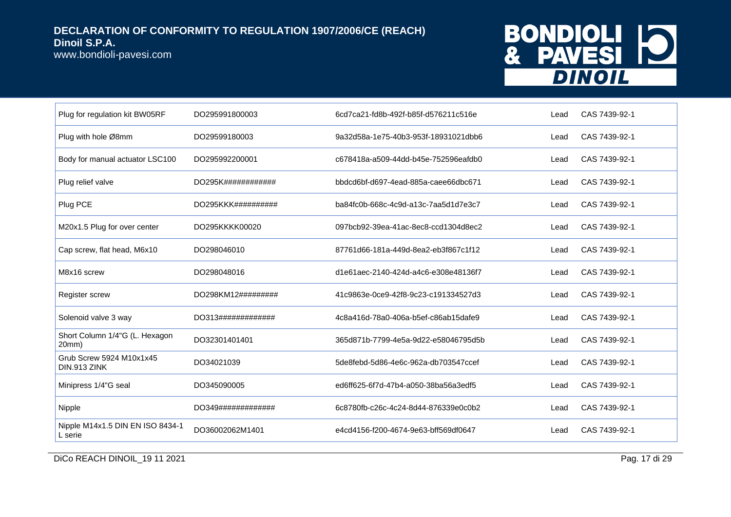www.bondioli-pavesi.com

## BONDIOLI 10 **DINOIL**

| Plug for regulation kit BW05RF              | DO295991800003     | 6cd7ca21-fd8b-492f-b85f-d576211c516e | Lead | CAS 7439-92-1 |
|---------------------------------------------|--------------------|--------------------------------------|------|---------------|
| Plug with hole Ø8mm                         | DO29599180003      | 9a32d58a-1e75-40b3-953f-18931021dbb6 | Lead | CAS 7439-92-1 |
| Body for manual actuator LSC100             | DO295992200001     | c678418a-a509-44dd-b45e-752596eafdb0 | Lead | CAS 7439-92-1 |
| Plug relief valve                           | DO295K############ | bbdcd6bf-d697-4ead-885a-caee66dbc671 | Lead | CAS 7439-92-1 |
| Plug PCE                                    | DO295KKK########## | ba84fc0b-668c-4c9d-a13c-7aa5d1d7e3c7 | Lead | CAS 7439-92-1 |
| M20x1.5 Plug for over center                | DO295KKKK00020     | 097bcb92-39ea-41ac-8ec8-ccd1304d8ec2 | Lead | CAS 7439-92-1 |
| Cap screw, flat head, M6x10                 | DO298046010        | 87761d66-181a-449d-8ea2-eb3f867c1f12 | Lead | CAS 7439-92-1 |
| M8x16 screw                                 | DO298048016        | d1e61aec-2140-424d-a4c6-e308e48136f7 | Lead | CAS 7439-92-1 |
| Register screw                              | DO298KM12######### | 41c9863e-0ce9-42f8-9c23-c191334527d3 | Lead | CAS 7439-92-1 |
| Solenoid valve 3 way                        | DO313############# | 4c8a416d-78a0-406a-b5ef-c86ab15dafe9 | Lead | CAS 7439-92-1 |
| Short Column 1/4"G (L. Hexagon<br>20mm)     | DO32301401401      | 365d871b-7799-4e5a-9d22-e58046795d5b | Lead | CAS 7439-92-1 |
| Grub Screw 5924 M10x1x45<br>DIN.913 ZINK    | DO34021039         | 5de8febd-5d86-4e6c-962a-db703547ccef | Lead | CAS 7439-92-1 |
| Minipress 1/4"G seal                        | DO345090005        | ed6ff625-6f7d-47b4-a050-38ba56a3edf5 | Lead | CAS 7439-92-1 |
| Nipple                                      | DO349############# | 6c8780fb-c26c-4c24-8d44-876339e0c0b2 | Lead | CAS 7439-92-1 |
| Nipple M14x1.5 DIN EN ISO 8434-1<br>L serie | DO36002062M1401    | e4cd4156-f200-4674-9e63-bff569df0647 | Lead | CAS 7439-92-1 |

DICo REACH DINOIL\_19 11 2021 29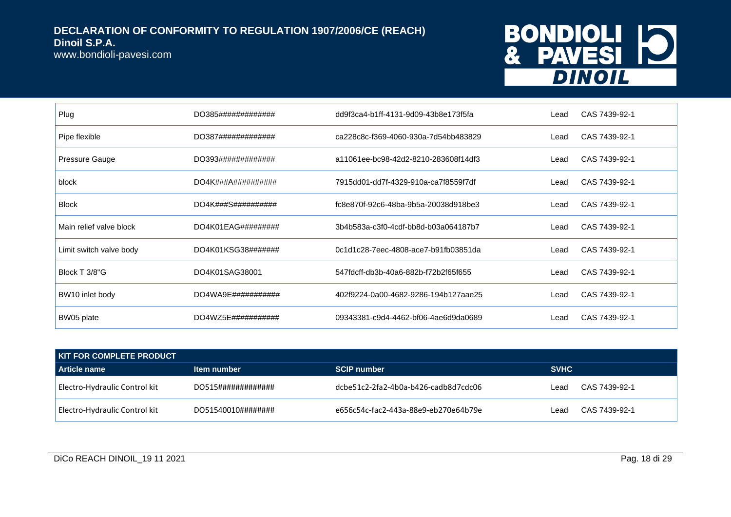www.bondioli-pavesi.com

# BONDIOLI 10<br>& PAVESI 10

| Plug                    | DO385#############            | dd9f3ca4-b1ff-4131-9d09-43b8e173f5fa | Lead | CAS 7439-92-1 |
|-------------------------|-------------------------------|--------------------------------------|------|---------------|
| Pipe flexible           | DO387#############            | ca228c8c-f369-4060-930a-7d54bb483829 | Lead | CAS 7439-92-1 |
| Pressure Gauge          | DO393#############            | a11061ee-bc98-42d2-8210-283608f14df3 | Lead | CAS 7439-92-1 |
| block                   | DO4K###A##########            | 7915dd01-dd7f-4329-910a-ca7f8559f7df | Lead | CAS 7439-92-1 |
| <b>Block</b>            | DO4K###S##########            | fc8e870f-92c6-48ba-9b5a-20038d918be3 | Lead | CAS 7439-92-1 |
| Main relief valve block | $DO4K01EAG\#4\#4\#4\#4\#4$    | 3b4b583a-c3f0-4cdf-bb8d-b03a064187b7 | Lead | CAS 7439-92-1 |
| Limit switch valve body | DO4K01KSG38########           | 0c1d1c28-7eec-4808-ace7-b91fb03851da | Lead | CAS 7439-92-1 |
| Block T 3/8"G           | DO4K01SAG38001                | 547fdcff-db3b-40a6-882b-f72b2f65f655 | Lead | CAS 7439-92-1 |
| BW10 inlet body         | DO4WA9E############           | 402f9224-0a00-4682-9286-194b127aae25 | Lead | CAS 7439-92-1 |
| BW05 plate              | DO4WZ5E## # # # # # # # # # # | 09343381-c9d4-4462-bf06-4ae6d9da0689 | Lead | CAS 7439-92-1 |

| <b>KIT FOR COMPLETE PRODUCT</b> |                    |                                      |             |               |  |
|---------------------------------|--------------------|--------------------------------------|-------------|---------------|--|
| l Article name                  | Item number        | <b>SCIP number</b>                   | <b>SVHC</b> |               |  |
| Electro-Hydraulic Control kit   | DO515############# | dcbe51c2-2fa2-4b0a-b426-cadb8d7cdc06 | ∟ead        | CAS 7439-92-1 |  |
| Electro-Hydraulic Control kit   | DO51540010######## | e656c54c-fac2-443a-88e9-eb270e64b79e | ∟ead        | CAS 7439-92-1 |  |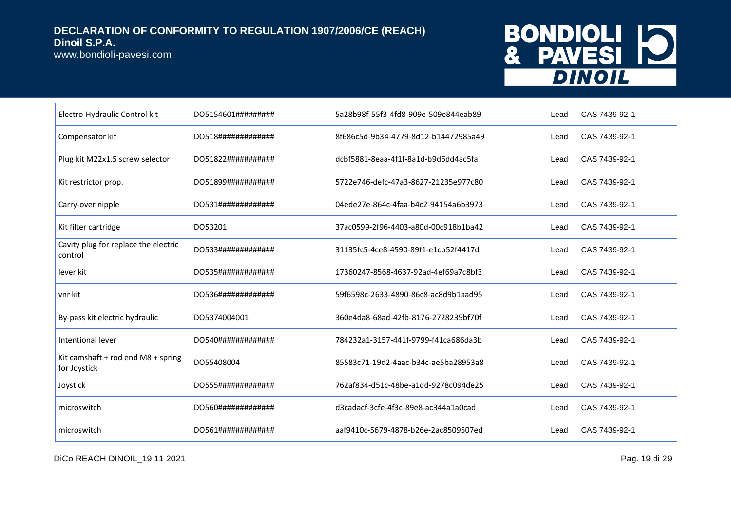www.bondioli-pavesi.com

## BONDIOLI 10 **DINOIL**

| Electro-Hydraulic Control kit                      | DO5154601#########  | 5a28b98f-55f3-4fd8-909e-509e844eab89 | Lead | CAS 7439-92-1 |
|----------------------------------------------------|---------------------|--------------------------------------|------|---------------|
| Compensator kit                                    | DO518############## | 8f686c5d-9b34-4779-8d12-b14472985a49 | Lead | CAS 7439-92-1 |
| Plug kit M22x1.5 screw selector                    | DO51822###########  | dcbf5881-8eaa-4f1f-8a1d-b9d6dd4ac5fa | Lead | CAS 7439-92-1 |
| Kit restrictor prop.                               | DO51899###########  | 5722e746-defc-47a3-8627-21235e977c80 | Lead | CAS 7439-92-1 |
| Carry-over nipple                                  | DO531#############  | 04ede27e-864c-4faa-b4c2-94154a6b3973 | Lead | CAS 7439-92-1 |
| Kit filter cartridge                               | DO53201             | 37ac0599-2f96-4403-a80d-00c918b1ba42 | Lead | CAS 7439-92-1 |
| Cavity plug for replace the electric<br>control    | DO533#############  | 31135fc5-4ce8-4590-89f1-e1cb52f4417d | Lead | CAS 7439-92-1 |
| lever kit                                          | DO535#############  | 17360247-8568-4637-92ad-4ef69a7c8bf3 | Lead | CAS 7439-92-1 |
| vnr kit                                            | DO536############## | 59f6598c-2633-4890-86c8-ac8d9b1aad95 | Lead | CAS 7439-92-1 |
| By-pass kit electric hydraulic                     | DO5374004001        | 360e4da8-68ad-42fb-8176-2728235bf70f | Lead | CAS 7439-92-1 |
| Intentional lever                                  | DO540#############  | 784232a1-3157-441f-9799-f41ca686da3b | Lead | CAS 7439-92-1 |
| Kit camshaft + rod end M8 + spring<br>for Joystick | DO55408004          | 85583c71-19d2-4aac-b34c-ae5ba28953a8 | Lead | CAS 7439-92-1 |
| Joystick                                           | DO555#############  | 762af834-d51c-48be-a1dd-9278c094de25 | Lead | CAS 7439-92-1 |
| microswitch                                        | DO560#############  | d3cadacf-3cfe-4f3c-89e8-ac344a1a0cad | Lead | CAS 7439-92-1 |
| microswitch                                        | DO561#############  | aaf9410c-5679-4878-b26e-2ac8509507ed | Lead | CAS 7439-92-1 |

DICo REACH DINOIL\_19 11 2021 Pag. 19 di 29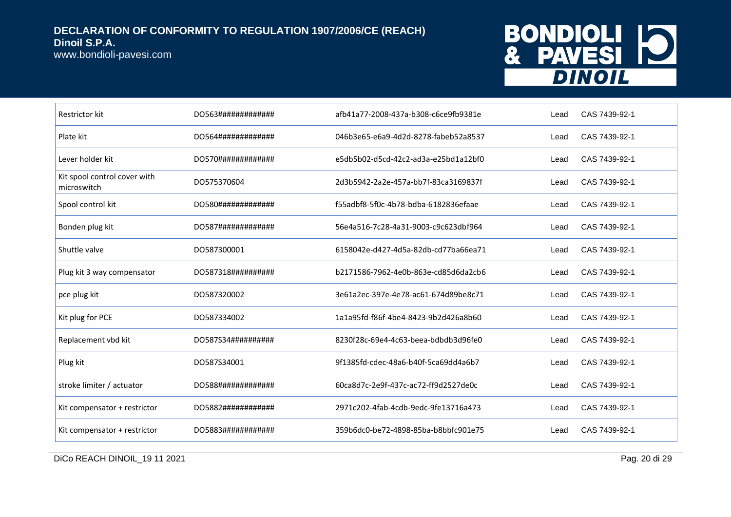www.bondioli-pavesi.com

## BONDIOLI 10 **DINOIL**

| Restrictor kit                              | DO563############# | afb41a77-2008-437a-b308-c6ce9fb9381e | Lead | CAS 7439-92-1 |
|---------------------------------------------|--------------------|--------------------------------------|------|---------------|
| Plate kit                                   | DO564############# | 046b3e65-e6a9-4d2d-8278-fabeb52a8537 | Lead | CAS 7439-92-1 |
| Lever holder kit                            | DO570############# | e5db5b02-d5cd-42c2-ad3a-e25bd1a12bf0 | Lead | CAS 7439-92-1 |
| Kit spool control cover with<br>microswitch | DO575370604        | 2d3b5942-2a2e-457a-bb7f-83ca3169837f | Lead | CAS 7439-92-1 |
| Spool control kit                           | DO580############# | f55adbf8-5f0c-4b78-bdba-6182836efaae | Lead | CAS 7439-92-1 |
| Bonden plug kit                             | DO587############# | 56e4a516-7c28-4a31-9003-c9c623dbf964 | Lead | CAS 7439-92-1 |
| Shuttle valve                               | DO587300001        | 6158042e-d427-4d5a-82db-cd77ba66ea71 | Lead | CAS 7439-92-1 |
| Plug kit 3 way compensator                  | DO587318########## | b2171586-7962-4e0b-863e-cd85d6da2cb6 | Lead | CAS 7439-92-1 |
| pce plug kit                                | DO587320002        | 3e61a2ec-397e-4e78-ac61-674d89be8c71 | Lead | CAS 7439-92-1 |
| Kit plug for PCE                            | DO587334002        | 1a1a95fd-f86f-4be4-8423-9b2d426a8b60 | Lead | CAS 7439-92-1 |
| Replacement vbd kit                         | DO587S34########## | 8230f28c-69e4-4c63-beea-bdbdb3d96fe0 | Lead | CAS 7439-92-1 |
| Plug kit                                    | DO587S34001        | 9f1385fd-cdec-48a6-b40f-5ca69dd4a6b7 | Lead | CAS 7439-92-1 |
| stroke limiter / actuator                   | DO588############# | 60ca8d7c-2e9f-437c-ac72-ff9d2527de0c | Lead | CAS 7439-92-1 |
| Kit compensator + restrictor                | DO5882############ | 2971c202-4fab-4cdb-9edc-9fe13716a473 | Lead | CAS 7439-92-1 |
| Kit compensator + restrictor                | DO5883############ | 359b6dc0-be72-4898-85ba-b8bbfc901e75 | Lead | CAS 7439-92-1 |

DICo REACH DINOIL\_19 11 2021 Pag. 20 di 29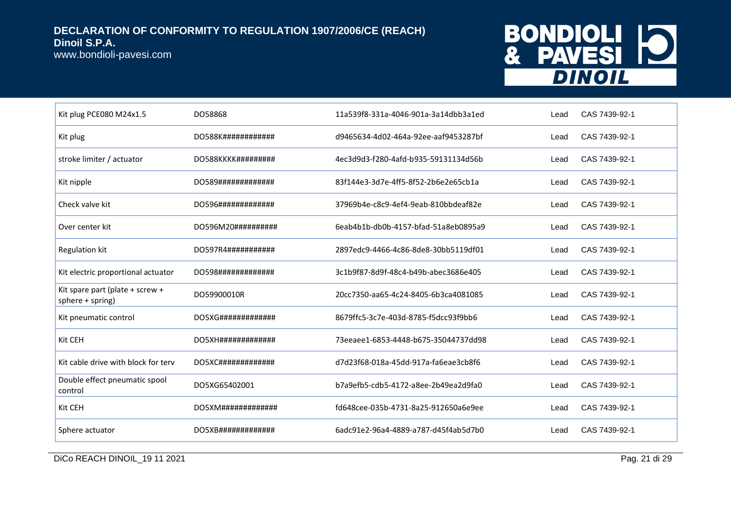www.bondioli-pavesi.com

## BONDIOLI 10 **DINOIL**

| Kit plug PCE080 M24x1.5                             | DO58868                | 11a539f8-331a-4046-901a-3a14dbb3a1ed | Lead | CAS 7439-92-1 |
|-----------------------------------------------------|------------------------|--------------------------------------|------|---------------|
| Kit plug                                            | DO588K############     | d9465634-4d02-464a-92ee-aaf9453287bf | Lead | CAS 7439-92-1 |
| stroke limiter / actuator                           | DO588KKKK#########     | 4ec3d9d3-f280-4afd-b935-59131134d56b | Lead | CAS 7439-92-1 |
| Kit nipple                                          | DO589##############    | 83f144e3-3d7e-4ff5-8f52-2b6e2e65cb1a | Lead | CAS 7439-92-1 |
| Check valve kit                                     | DO596#############     | 37969b4e-c8c9-4ef4-9eab-810bbdeaf82e | Lead | CAS 7439-92-1 |
| Over center kit                                     | DO596M20###########    | 6eab4b1b-db0b-4157-bfad-51a8eb0895a9 | Lead | CAS 7439-92-1 |
| <b>Regulation kit</b>                               | DO597R4###########     | 2897edc9-4466-4c86-8de8-30bb5119df01 | Lead | CAS 7439-92-1 |
| Kit electric proportional actuator                  | DO598#############     | 3c1b9f87-8d9f-48c4-b49b-abec3686e405 | Lead | CAS 7439-92-1 |
| Kit spare part (plate + screw +<br>sphere + spring) | DO59900010R            | 20cc7350-aa65-4c24-8405-6b3ca4081085 | Lead | CAS 7439-92-1 |
| Kit pneumatic control                               | $DOSXG$ ############## | 8679ffc5-3c7e-403d-8785-f5dcc93f9bb6 | Lead | CAS 7439-92-1 |
| Kit CEH                                             | $DO5XH$ ############## | 73eeaee1-6853-4448-b675-35044737dd98 | Lead | CAS 7439-92-1 |
| Kit cable drive with block for terv                 |                        | d7d23f68-018a-45dd-917a-fa6eae3cb8f6 | Lead | CAS 7439-92-1 |
| Double effect pneumatic spool<br>control            | DO5XG65402001          | b7a9efb5-cdb5-4172-a8ee-2b49ea2d9fa0 | Lead | CAS 7439-92-1 |
| Kit CEH                                             | $DOSXM$ ############## | fd648cee-035b-4731-8a25-912650a6e9ee | Lead | CAS 7439-92-1 |
| Sphere actuator                                     | DO5XB#############     | 6adc91e2-96a4-4889-a787-d45f4ab5d7b0 | Lead | CAS 7439-92-1 |

DICo REACH DINOIL\_19 11 2021 Pag. 21 di 29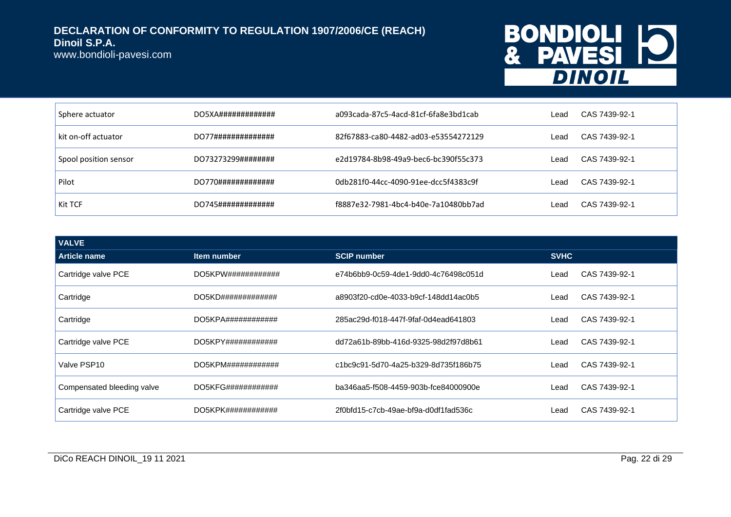www.bondioli-pavesi.com

# BONDIOLI 10<br>& PAVESI 10

| Sphere actuator       | DO5XA############# | a093cada-87c5-4acd-81cf-6fa8e3bd1cab | ∟ead | CAS 7439-92-1 |
|-----------------------|--------------------|--------------------------------------|------|---------------|
| kit on-off actuator   | DO77############## | 82f67883-ca80-4482-ad03-e53554272129 | ∟ead | CAS 7439-92-1 |
| Spool position sensor | DO73273299######## | e2d19784-8b98-49a9-bec6-bc390f55c373 | ∟ead | CAS 7439-92-1 |
| Pilot                 | DO770############# | 0db281f0-44cc-4090-91ee-dcc5f4383c9f | Lead | CAS 7439-92-1 |
| Kit TCF               | DO745############# | f8887e32-7981-4bc4-b40e-7a10480bb7ad | ∟ead | CAS 7439-92-1 |

| <b>VALVE</b>               |                                 |                                      |             |               |
|----------------------------|---------------------------------|--------------------------------------|-------------|---------------|
| <b>Article name</b>        | Item number                     | <b>SCIP number</b>                   | <b>SVHC</b> |               |
| Cartridge valve PCE        | DO5KPW# # # # # # # # # # # # # | e74b6bb9-0c59-4de1-9dd0-4c76498c051d | Lead        | CAS 7439-92-1 |
| Cartridge                  | DO5KD#############              | a8903f20-cd0e-4033-b9cf-148dd14ac0b5 | Lead        | CAS 7439-92-1 |
| Cartridge                  | $DO5KPA$ #####################  | 285ac29d-f018-447f-9faf-0d4ead641803 | Lead        | CAS 7439-92-1 |
| Cartridge valve PCE        | DO5KPY# # # # # # # # # # # # # | dd72a61b-89bb-416d-9325-98d2f97d8b61 | Lead        | CAS 7439-92-1 |
| Valve PSP10                | DO5KPM# # # # # # # # # # # # # | c1bc9c91-5d70-4a25-b329-8d735f186b75 | Lead        | CAS 7439-92-1 |
| Compensated bleeding valve | DO5KFG############              | ba346aa5-f508-4459-903b-fce84000900e | Lead        | CAS 7439-92-1 |
| Cartridge valve PCE        |                                 | 2f0bfd15-c7cb-49ae-bf9a-d0df1fad536c | Lead        | CAS 7439-92-1 |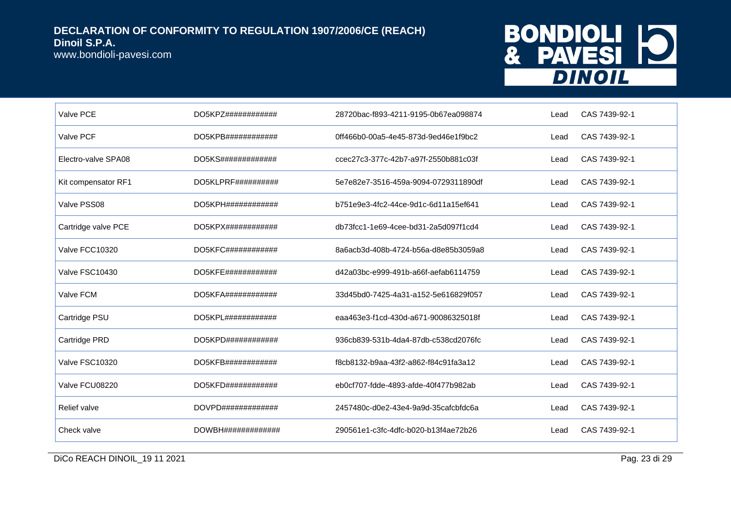www.bondioli-pavesi.com

## BONDIOLI 10 **DINOIL**

| Valve PCE           | DO5KPZ# # # # # # # # # # # # #    | 28720bac-f893-4211-9195-0b67ea098874 | Lead | CAS 7439-92-1 |
|---------------------|------------------------------------|--------------------------------------|------|---------------|
| Valve PCF           | DO5KPB############                 | 0ff466b0-00a5-4e45-873d-9ed46e1f9bc2 | Lead | CAS 7439-92-1 |
| Electro-valve SPA08 | DO5KS#############                 | ccec27c3-377c-42b7-a97f-2550b881c03f | Lead | CAS 7439-92-1 |
| Kit compensator RF1 | $DO5KLPRF$ ###########             | 5e7e82e7-3516-459a-9094-0729311890df | Lead | CAS 7439-92-1 |
| Valve PSS08         | DO5KPH# # # # # # # # # # # # #    | b751e9e3-4fc2-44ce-9d1c-6d11a15ef641 | Lead | CAS 7439-92-1 |
| Cartridge valve PCE | DO5KPX############                 | db73fcc1-1e69-4cee-bd31-2a5d097f1cd4 | Lead | CAS 7439-92-1 |
| Valve FCC10320      | DO5KFC############                 | 8a6acb3d-408b-4724-b56a-d8e85b3059a8 | Lead | CAS 7439-92-1 |
| Valve FSC10430      | DO5KFE############                 | d42a03bc-e999-491b-a66f-aefab6114759 | Lead | CAS 7439-92-1 |
| Valve FCM           | $DO5KFA # # # # # # # # # # # # *$ | 33d45bd0-7425-4a31-a152-5e616829f057 | Lead | CAS 7439-92-1 |
| Cartridge PSU       | DO5KPL# # # # # # # # # # # # #    | eaa463e3-f1cd-430d-a671-90086325018f | Lead | CAS 7439-92-1 |
| Cartridge PRD       | DO5KPD############                 | 936cb839-531b-4da4-87db-c538cd2076fc | Lead | CAS 7439-92-1 |
| Valve FSC10320      | DO5KFB############                 | f8cb8132-b9aa-43f2-a862-f84c91fa3a12 | Lead | CAS 7439-92-1 |
| Valve FCU08220      | DO5KFD############                 | eb0cf707-fdde-4893-afde-40f477b982ab | Lead | CAS 7439-92-1 |
| Relief valve        |                                    | 2457480c-d0e2-43e4-9a9d-35cafcbfdc6a | Lead | CAS 7439-92-1 |
| Check valve         | DOWBH##############                | 290561e1-c3fc-4dfc-b020-b13f4ae72b26 | Lead | CAS 7439-92-1 |

DICo REACH DINOIL\_19 11 2021 Pag. 23 di 29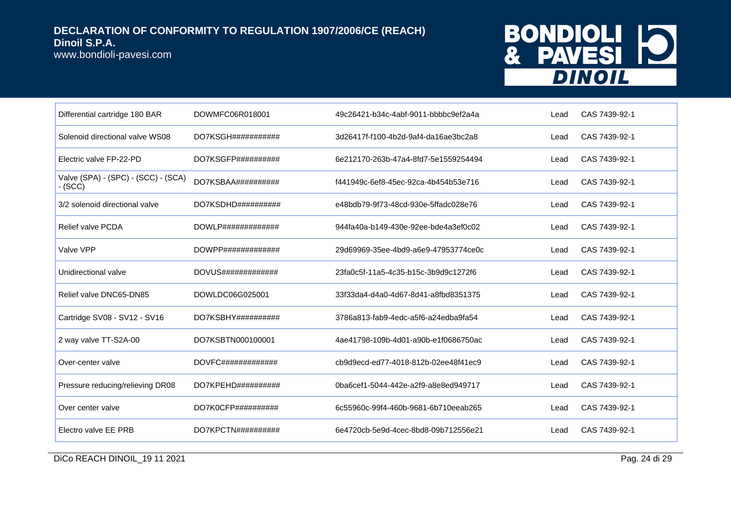www.bondioli-pavesi.com

## BONDIOLI 10 **DINOIL**

| Differential cartridge 180 BAR                 | DOWMFC06R018001              | 49c26421-b34c-4abf-9011-bbbbc9ef2a4a | Lead | CAS 7439-92-1 |
|------------------------------------------------|------------------------------|--------------------------------------|------|---------------|
| Solenoid directional valve WS08                | DO7KSGH###########           | 3d26417f-f100-4b2d-9af4-da16ae3bc2a8 | Lead | CAS 7439-92-1 |
| Electric valve FP-22-PD                        | DO7KSGFP##########           | 6e212170-263b-47a4-8fd7-5e1559254494 | Lead | CAS 7439-92-1 |
| Valve (SPA) - (SPC) - (SCC) - (SCA)<br>- (SCC) | DO7KSBAA##########           | f441949c-6ef8-45ec-92ca-4b454b53e716 | Lead | CAS 7439-92-1 |
| 3/2 solenoid directional valve                 | DO7KSDHD##########           | e48bdb79-9f73-48cd-930e-5ffadc028e76 | Lead | CAS 7439-92-1 |
| <b>Relief valve PCDA</b>                       | $DOWLP$ ##############       | 944fa40a-b149-430e-92ee-bde4a3ef0c02 | Lead | CAS 7439-92-1 |
| Valve VPP                                      | $DOWPP$ ##############       | 29d69969-35ee-4bd9-a6e9-47953774ce0c | Lead | CAS 7439-92-1 |
| Unidirectional valve                           | $DOVUS\#4\#4\#4\#4\#4\#4\#4$ | 23fa0c5f-11a5-4c35-b15c-3b9d9c1272f6 | Lead | CAS 7439-92-1 |
| Relief valve DNC65-DN85                        | DOWLDC06G025001              | 33f33da4-d4a0-4d67-8d41-a8fbd8351375 | Lead | CAS 7439-92-1 |
| Cartridge SV08 - SV12 - SV16                   | $DO7KSBHY$ ##########        | 3786a813-fab9-4edc-a5f6-a24edba9fa54 | Lead | CAS 7439-92-1 |
| 2 way valve TT-S2A-00                          | DO7KSBTN000100001            | 4ae41798-109b-4d01-a90b-e1f0686750ac | Lead | CAS 7439-92-1 |
| Over-center valve                              | $DOVFC$ ##############       | cb9d9ecd-ed77-4018-812b-02ee48f41ec9 | Lead | CAS 7439-92-1 |
| Pressure reducing/relieving DR08               | DO7KPEHD##########           | 0ba6cef1-5044-442e-a2f9-a8e8ed949717 | Lead | CAS 7439-92-1 |
| Over center valve                              | DO7K0CFP##########           | 6c55960c-99f4-460b-9681-6b710eeab265 | Lead | CAS 7439-92-1 |
| Electro valve EE PRB                           | $DO7KPCTN$ ###########       | 6e4720cb-5e9d-4cec-8bd8-09b712556e21 | Lead | CAS 7439-92-1 |

DICo REACH DINOIL\_19 11 2021 Pag. 24 di 29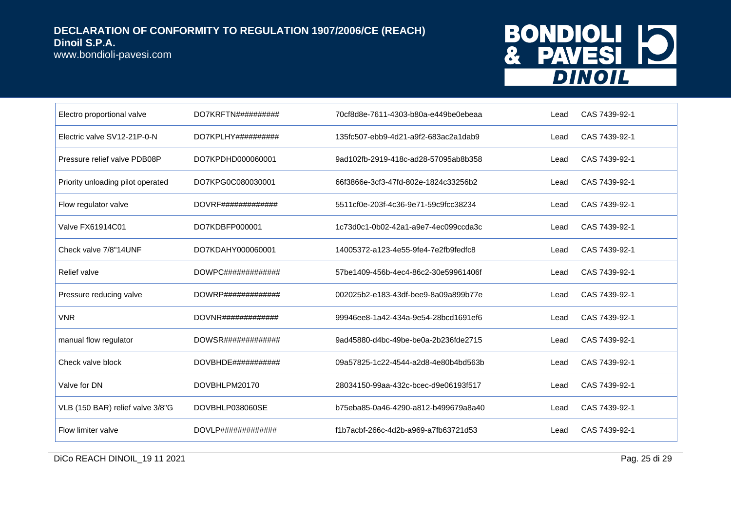www.bondioli-pavesi.com

## BONDIOLI 10 **DINOIL**

| Electro proportional valve        | $DO7KRFTN$ ###########        | 70cf8d8e-7611-4303-b80a-e449be0ebeaa | Lead | CAS 7439-92-1 |
|-----------------------------------|-------------------------------|--------------------------------------|------|---------------|
| Electric valve SV12-21P-0-N       | $DO7KPLHY$ ##########         | 135fc507-ebb9-4d21-a9f2-683ac2a1dab9 | Lead | CAS 7439-92-1 |
| Pressure relief valve PDB08P      | DO7KPDHD000060001             | 9ad102fb-2919-418c-ad28-57095ab8b358 | Lead | CAS 7439-92-1 |
| Priority unloading pilot operated | DO7KPG0C080030001             | 66f3866e-3cf3-47fd-802e-1824c33256b2 | Lead | CAS 7439-92-1 |
| Flow regulator valve              | DOVRF##############           | 5511cf0e-203f-4c36-9e71-59c9fcc38234 | Lead | CAS 7439-92-1 |
| Valve FX61914C01                  | DO7KDBFP000001                | 1c73d0c1-0b02-42a1-a9e7-4ec099ccda3c | Lead | CAS 7439-92-1 |
| Check valve 7/8"14UNF             | DO7KDAHY000060001             | 14005372-a123-4e55-9fe4-7e2fb9fedfc8 | Lead | CAS 7439-92-1 |
| Relief valve                      | $DOWPC\#$ ############        | 57be1409-456b-4ec4-86c2-30e59961406f | Lead | CAS 7439-92-1 |
| Pressure reducing valve           | $DOWRP$ ##############        | 002025b2-e183-43df-bee9-8a09a899b77e | Lead | CAS 7439-92-1 |
| <b>VNR</b>                        | $DOVNR$ ##############        | 99946ee8-1a42-434a-9e54-28bcd1691ef6 | Lead | CAS 7439-92-1 |
| manual flow regulator             | $DOWSR$ ##################### | 9ad45880-d4bc-49be-be0a-2b236fde2715 | Lead | CAS 7439-92-1 |
| Check valve block                 | $DOVBHDE$ ############        | 09a57825-1c22-4544-a2d8-4e80b4bd563b | Lead | CAS 7439-92-1 |
| Valve for DN                      | DOVBHLPM20170                 | 28034150-99aa-432c-bcec-d9e06193f517 | Lead | CAS 7439-92-1 |
| VLB (150 BAR) relief valve 3/8"G  | DOVBHLP038060SE               | b75eba85-0a46-4290-a812-b499679a8a40 | Lead | CAS 7439-92-1 |
| Flow limiter valve                | $DOVLP$ ##############        | f1b7acbf-266c-4d2b-a969-a7fb63721d53 | Lead | CAS 7439-92-1 |

DICo REACH DINOIL\_19 11 2021 Pag. 25 di 29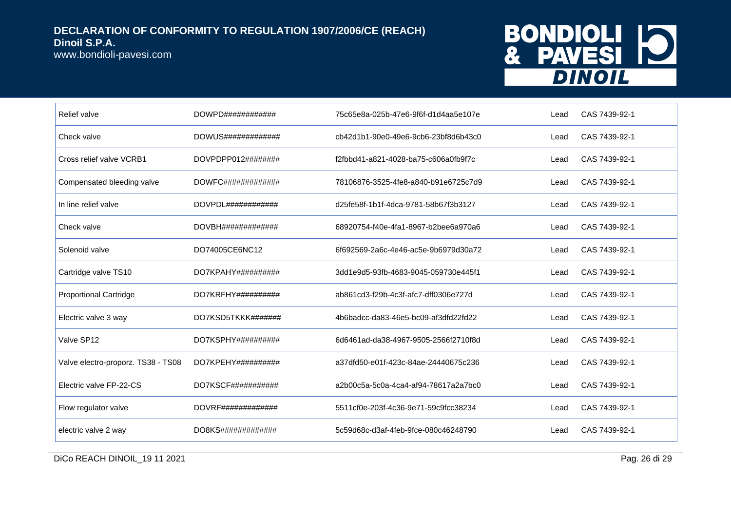www.bondioli-pavesi.com

## BONDIOLI 10 **DINOIL**

| Relief valve                       | $DOWPD\#4\#4\#4\#4\#4\#4\#4$    | 75c65e8a-025b-47e6-9f6f-d1d4aa5e107e | Lead | CAS 7439-92-1 |
|------------------------------------|---------------------------------|--------------------------------------|------|---------------|
| Check valve                        | $DOWUS\#4\#4\#4\#4\#4\#4\#4\#4$ | cb42d1b1-90e0-49e6-9cb6-23bf8d6b43c0 | Lead | CAS 7439-92-1 |
| Cross relief valve VCRB1           | DOVPDPP012########              | f2fbbd41-a821-4028-ba75-c606a0fb9f7c | Lead | CAS 7439-92-1 |
| Compensated bleeding valve         | $DOWFC\#4\#4\#4\#4\#4\#4\#4\#4$ | 78106876-3525-4fe8-a840-b91e6725c7d9 | Lead | CAS 7439-92-1 |
| In line relief valve               |                                 | d25fe58f-1b1f-4dca-9781-58b67f3b3127 | Lead | CAS 7439-92-1 |
| Check valve                        | DOVBH##############             | 68920754-f40e-4fa1-8967-b2bee6a970a6 | Lead | CAS 7439-92-1 |
| Solenoid valve                     | DO74005CE6NC12                  | 6f692569-2a6c-4e46-ac5e-9b6979d30a72 | Lead | CAS 7439-92-1 |
| Cartridge valve TS10               | $DO7KPAHY$ ##########           | 3dd1e9d5-93fb-4683-9045-059730e445f1 | Lead | CAS 7439-92-1 |
| <b>Proportional Cartridge</b>      | $DO7KRFHY$ ###########          | ab861cd3-f29b-4c3f-afc7-dff0306e727d | Lead | CAS 7439-92-1 |
| Electric valve 3 way               | DO7KSD5TKKK#######              | 4b6badcc-da83-46e5-bc09-af3dfd22fd22 | Lead | CAS 7439-92-1 |
| Valve SP12                         | DO7KSPHY##########              | 6d6461ad-da38-4967-9505-2566f2710f8d | Lead | CAS 7439-92-1 |
| Valve electro-proporz. TS38 - TS08 | $DO7KPEHY$ ##########           | a37dfd50-e01f-423c-84ae-24440675c236 | Lead | CAS 7439-92-1 |
| Electric valve FP-22-CS            | DO7KSCF###########              | a2b00c5a-5c0a-4ca4-af94-78617a2a7bc0 | Lead | CAS 7439-92-1 |
| Flow regulator valve               | DOVRF###############            | 5511cf0e-203f-4c36-9e71-59c9fcc38234 | Lead | CAS 7439-92-1 |
| electric valve 2 way               | $DOSKS$ ##############          | 5c59d68c-d3af-4feb-9fce-080c46248790 | Lead | CAS 7439-92-1 |

DICo REACH DINOIL\_19 11 2021 Pag. 26 di 29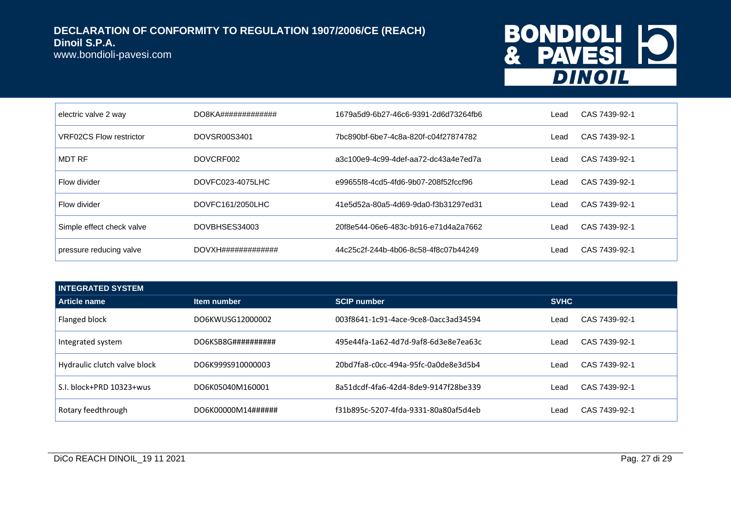www.bondioli-pavesi.com

## BONDIOLI 10 **DINOIL**

| electric valve 2 way           | $DO8KA$ ############## | 1679a5d9-6b27-46c6-9391-2d6d73264fb6 | Lead | CAS 7439-92-1 |
|--------------------------------|------------------------|--------------------------------------|------|---------------|
| <b>VRF02CS Flow restrictor</b> | DOVSR00S3401           | 7bc890bf-6be7-4c8a-820f-c04f27874782 | Lead | CAS 7439-92-1 |
| MDT RF                         | DOVCRF002              | a3c100e9-4c99-4def-aa72-dc43a4e7ed7a | Lead | CAS 7439-92-1 |
| Flow divider                   | DOVFC023-4075LHC       | e99655f8-4cd5-4fd6-9b07-208f52fccf96 | Lead | CAS 7439-92-1 |
| Flow divider                   | DOVFC161/2050LHC       | 41e5d52a-80a5-4d69-9da0-f3b31297ed31 | Lead | CAS 7439-92-1 |
| Simple effect check valve      | DOVBHSES34003          | 20f8e544-06e6-483c-b916-e71d4a2a7662 | Lead | CAS 7439-92-1 |
| pressure reducing valve        | DOVXH##############    | 44c25c2f-244b-4b06-8c58-4f8c07b44249 | Lead | CAS 7439-92-1 |

| <b>INTEGRATED SYSTEM</b>     |                               |                                      |                       |  |  |
|------------------------------|-------------------------------|--------------------------------------|-----------------------|--|--|
| Article name                 | Item number                   | <b>SCIP number</b>                   | <b>SVHC</b>           |  |  |
| Flanged block                | DO6KWUSG12000002              | 003f8641-1c91-4ace-9ce8-0acc3ad34594 | CAS 7439-92-1<br>Lead |  |  |
| Integrated system            | DO6KSB8G# # # # # # # # # # # | 495e44fa-1a62-4d7d-9af8-6d3e8e7ea63c | CAS 7439-92-1<br>Lead |  |  |
| Hydraulic clutch valve block | DO6K999S910000003             | 20bd7fa8-c0cc-494a-95fc-0a0de8e3d5b4 | CAS 7439-92-1<br>Lead |  |  |
| S.I. block+PRD 10323+wus     | DO6K05040M160001              | 8a51dcdf-4fa6-42d4-8de9-9147f28be339 | CAS 7439-92-1<br>Lead |  |  |
| Rotary feedthrough           | DO6K00000M14######            | f31b895c-5207-4fda-9331-80a80af5d4eb | CAS 7439-92-1<br>_ead |  |  |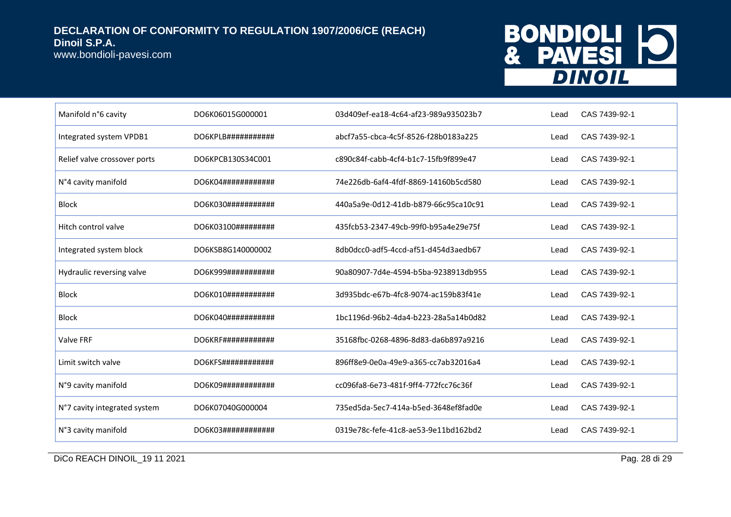www.bondioli-pavesi.com

## BONDIOLI 10 **DINOIL**

| Manifold n°6 cavity          | DO6K06015G000001    | 03d409ef-ea18-4c64-af23-989a935023b7 | Lead | CAS 7439-92-1 |
|------------------------------|---------------------|--------------------------------------|------|---------------|
| Integrated system VPDB1      |                     | abcf7a55-cbca-4c5f-8526-f28b0183a225 | Lead | CAS 7439-92-1 |
| Relief valve crossover ports | DO6KPCB130S34C001   | c890c84f-cabb-4cf4-b1c7-15fb9f899e47 | Lead | CAS 7439-92-1 |
| N°4 cavity manifold          | DO6K04############# | 74e226db-6af4-4fdf-8869-14160b5cd580 | Lead | CAS 7439-92-1 |
| <b>Block</b>                 | DO6K030############ | 440a5a9e-0d12-41db-b879-66c95ca10c91 | Lead | CAS 7439-92-1 |
| Hitch control valve          | DO6K03100#########  | 435fcb53-2347-49cb-99f0-b95a4e29e75f | Lead | CAS 7439-92-1 |
| Integrated system block      | DO6KSB8G140000002   | 8db0dcc0-adf5-4ccd-af51-d454d3aedb67 | Lead | CAS 7439-92-1 |
| Hydraulic reversing valve    | DO6K999###########  | 90a80907-7d4e-4594-b5ba-9238913db955 | Lead | CAS 7439-92-1 |
| <b>Block</b>                 | DO6K010############ | 3d935bdc-e67b-4fc8-9074-ac159b83f41e | Lead | CAS 7439-92-1 |
| <b>Block</b>                 | DO6K040###########  | 1bc1196d-96b2-4da4-b223-28a5a14b0d82 | Lead | CAS 7439-92-1 |
| <b>Valve FRF</b>             |                     | 35168fbc-0268-4896-8d83-da6b897a9216 | Lead | CAS 7439-92-1 |
| Limit switch valve           | DO6KFS############  | 896ff8e9-0e0a-49e9-a365-cc7ab32016a4 | Lead | CAS 7439-92-1 |
| N°9 cavity manifold          | DO6K09############  | cc096fa8-6e73-481f-9ff4-772fcc76c36f | Lead | CAS 7439-92-1 |
| N°7 cavity integrated system | DO6K07040G000004    | 735ed5da-5ec7-414a-b5ed-3648ef8fad0e | Lead | CAS 7439-92-1 |
| N°3 cavity manifold          | DO6K03############  | 0319e78c-fefe-41c8-ae53-9e11bd162bd2 | Lead | CAS 7439-92-1 |

DICo REACH DINOIL\_19 11 2021 Pag. 28 di 29